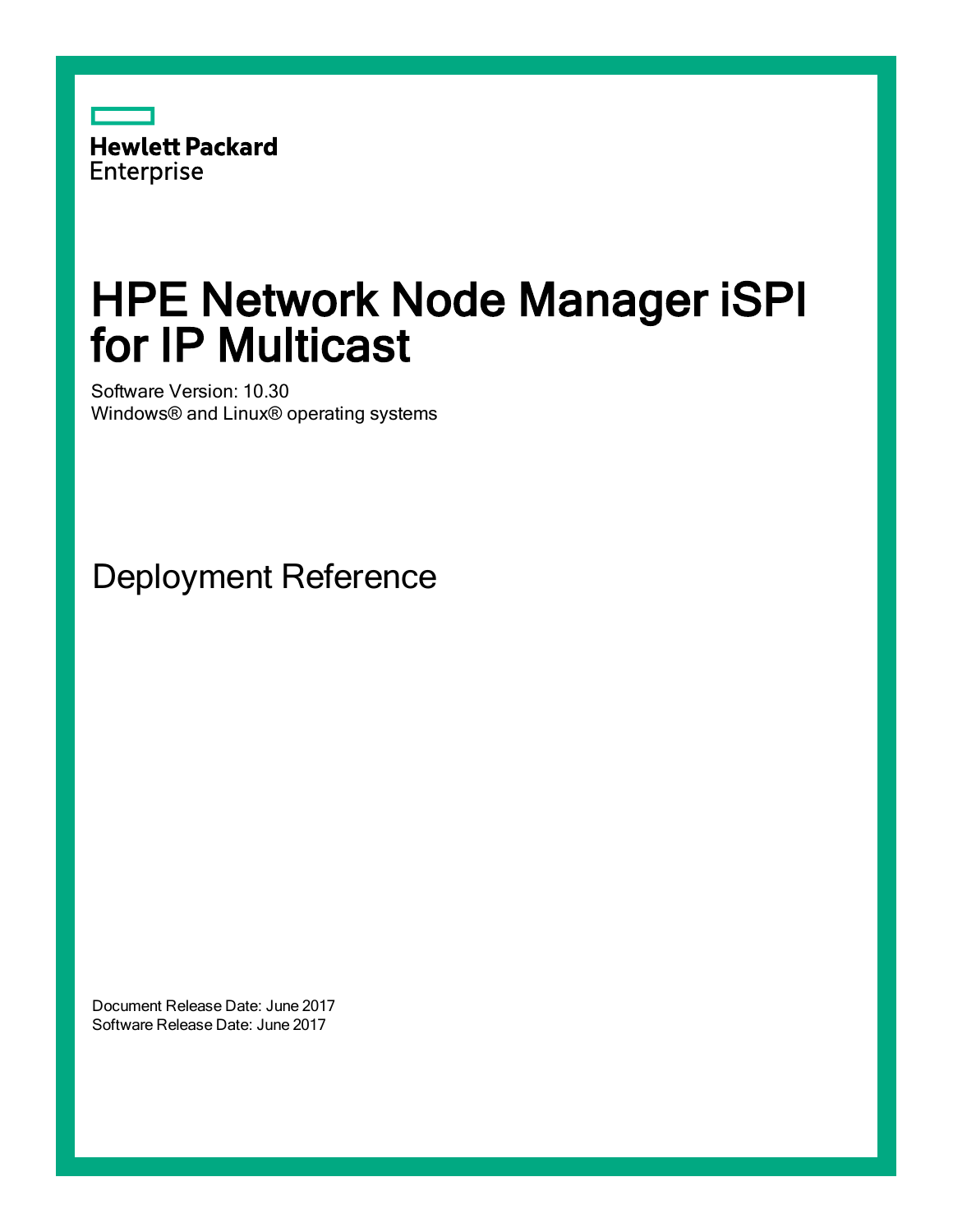

# HPE Network Node Manager iSPI for IP Multicast

Software Version: 10.30 Windows® and Linux® operating systems

Deployment Reference

Document Release Date: June 2017 Software Release Date: June 2017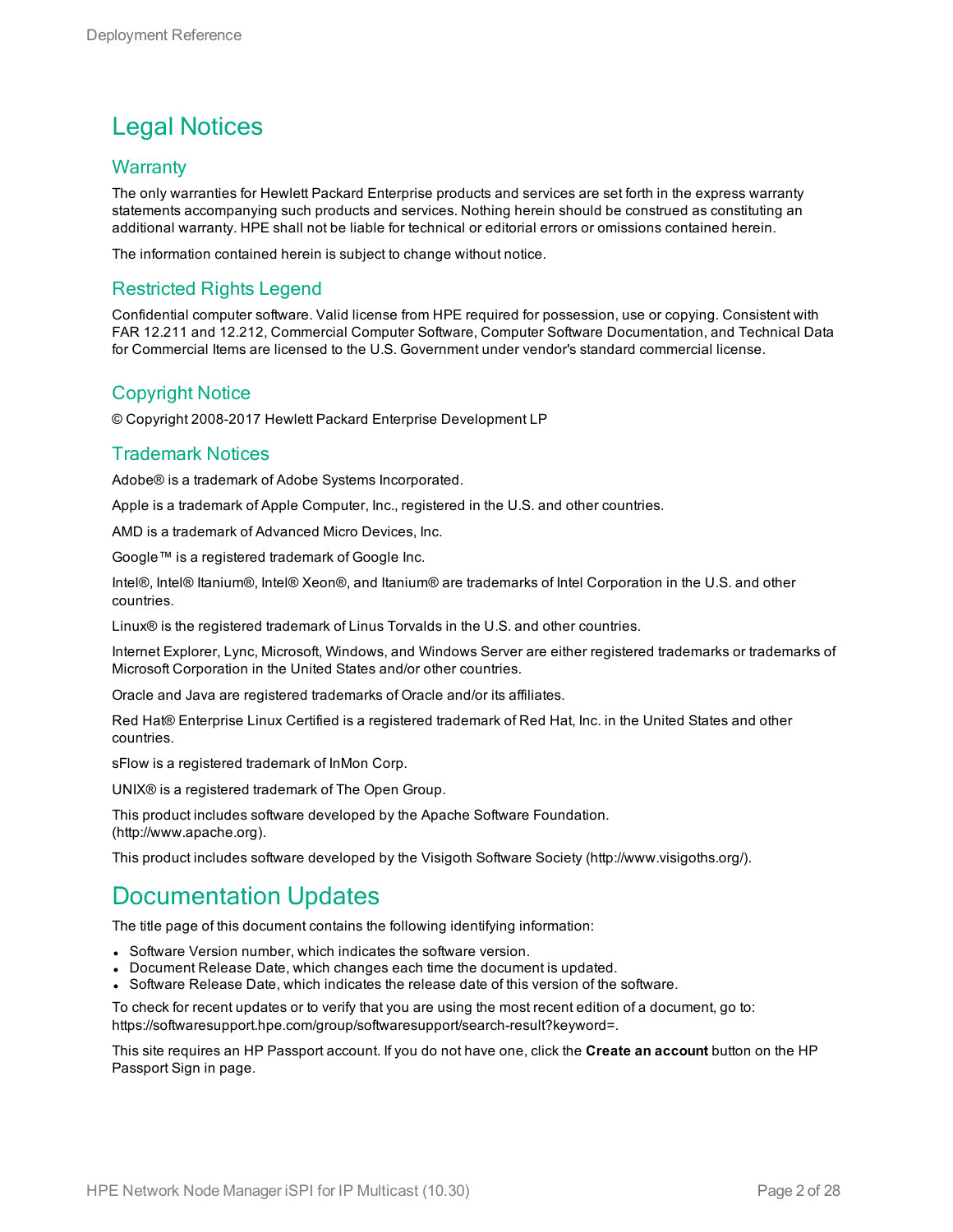#### Legal Notices

#### **Warranty**

The only warranties for Hewlett Packard Enterprise products and services are set forth in the express warranty statements accompanying such products and services. Nothing herein should be construed as constituting an additional warranty. HPE shall not be liable for technical or editorial errors or omissions contained herein.

The information contained herein is subject to change without notice.

#### Restricted Rights Legend

Confidential computer software. Valid license from HPE required for possession, use or copying. Consistent with FAR 12.211 and 12.212, Commercial Computer Software, Computer Software Documentation, and Technical Data for Commercial Items are licensed to the U.S. Government under vendor's standard commercial license.

#### Copyright Notice

© Copyright 2008-2017 Hewlett Packard Enterprise Development LP

#### Trademark Notices

Adobe® is a trademark of Adobe Systems Incorporated.

Apple is a trademark of Apple Computer, Inc., registered in the U.S. and other countries.

AMD is a trademark of Advanced Micro Devices, Inc.

Google™ is a registered trademark of Google Inc.

Intel®, Intel® Itanium®, Intel® Xeon®, and Itanium® are trademarks of Intel Corporation in the U.S. and other countries.

Linux® is the registered trademark of Linus Torvalds in the U.S. and other countries.

Internet Explorer, Lync, Microsoft, Windows, and Windows Server are either registered trademarks or trademarks of Microsoft Corporation in the United States and/or other countries.

Oracle and Java are registered trademarks of Oracle and/or its affiliates.

Red Hat® Enterprise Linux Certified is a registered trademark of Red Hat, Inc. in the United States and other countries.

sFlow is a registered trademark of InMon Corp.

UNIX® is a registered trademark of The Open Group.

This product includes software developed by the Apache Software Foundation. (http://www.apache.org).

This product includes software developed by the Visigoth Software Society (http://www.visigoths.org/).

#### Documentation Updates

The title page of this document contains the following identifying information:

- Software Version number, which indicates the software version.
- Document Release Date, which changes each time the document is updated.
- Software Release Date, which indicates the release date of this version of the software.

To check for recent updates or to verify that you are using the most recent edition of a document, go to: https://softwaresupport.hpe.com/group/softwaresupport/search-result?keyword=.

This site requires an HP Passport account. If you do not have one, click the **Create an account** button on the HP Passport Sign in page.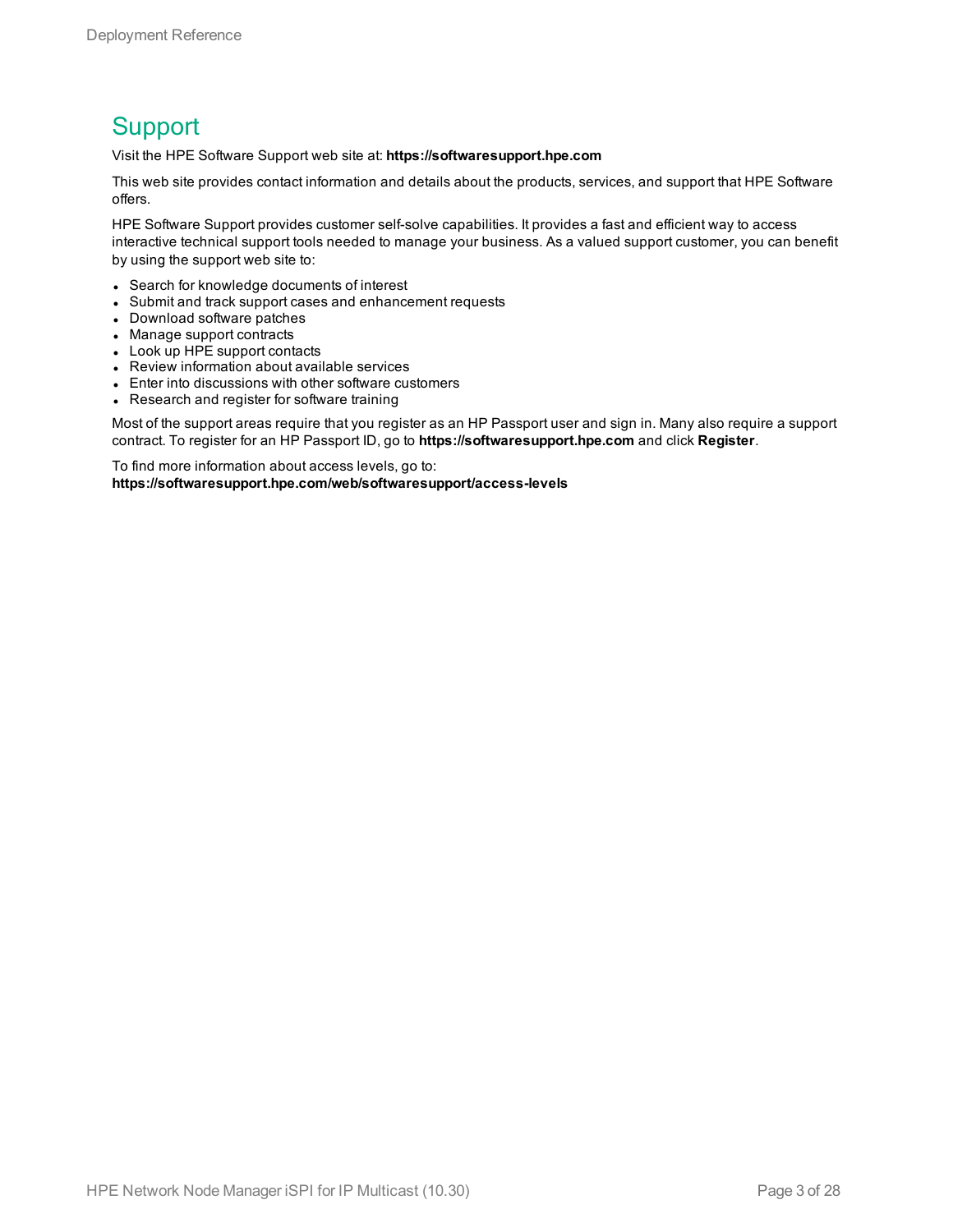#### **Support**

Visit the HPE Software Support web site at: **https://softwaresupport.hpe.com**

This web site provides contact information and details about the products, services, and support that HPE Software offers.

HPE Software Support provides customer self-solve capabilities. It provides a fast and efficient way to access interactive technical support tools needed to manage your business. As a valued support customer, you can benefit by using the support web site to:

- Search for knowledge documents of interest
- Submit and track support cases and enhancement requests
- Download software patches
- Manage support contracts
- Look up HPE support contacts
- Review information about available services
- Enter into discussions with other software customers
- Research and register for software training

Most of the support areas require that you register as an HP Passport user and sign in. Many also require a support contract. To register for an HP Passport ID, go to **https://softwaresupport.hpe.com** and click **Register**.

To find more information about access levels, go to: **https://softwaresupport.hpe.com/web/softwaresupport/access-levels**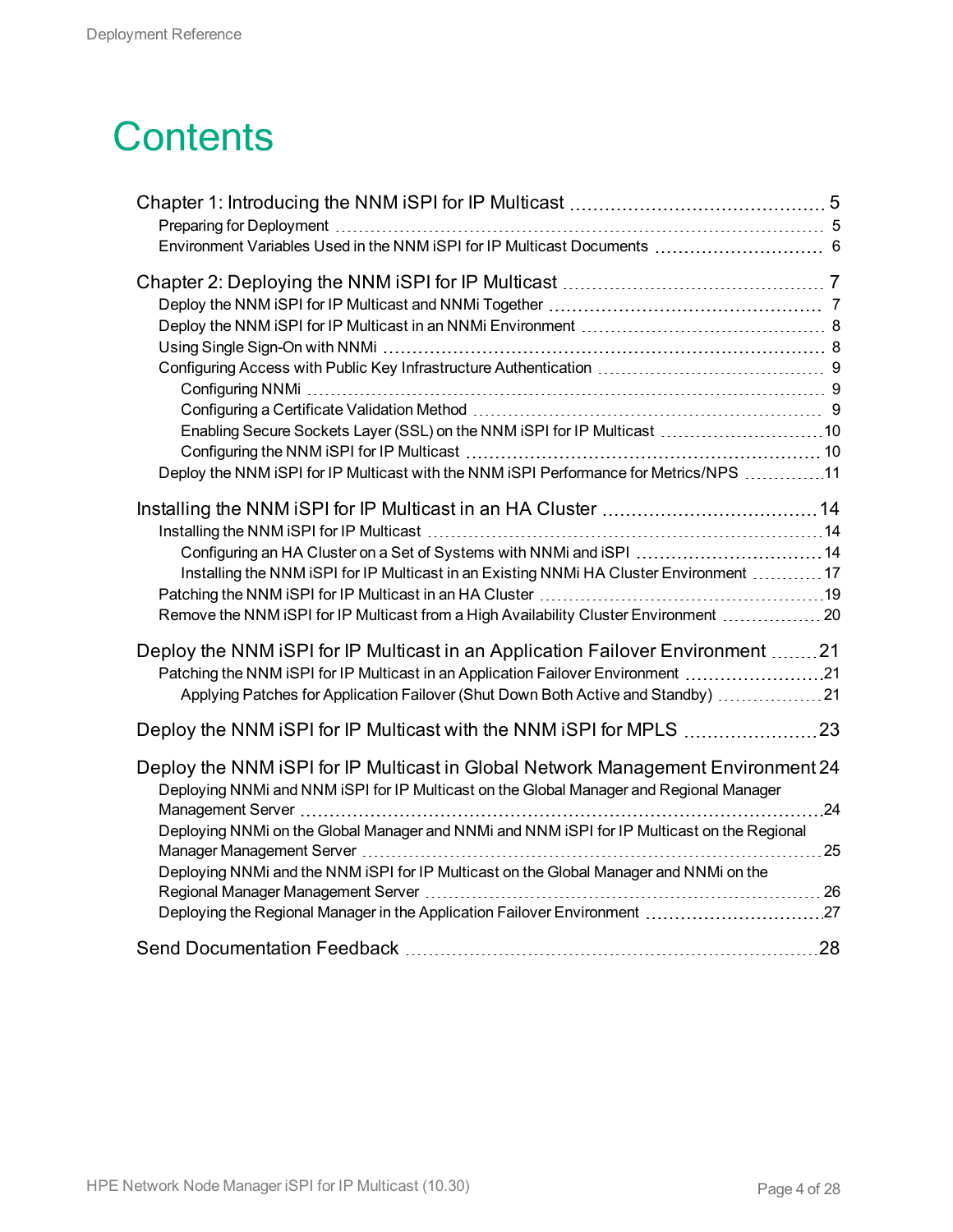# **Contents**

| Enabling Secure Sockets Layer (SSL) on the NNM iSPI for IP Multicast 10                                                                                                     |  |
|-----------------------------------------------------------------------------------------------------------------------------------------------------------------------------|--|
|                                                                                                                                                                             |  |
| Deploy the NNM iSPI for IP Multicast with the NNM iSPI Performance for Metrics/NPS 11                                                                                       |  |
|                                                                                                                                                                             |  |
|                                                                                                                                                                             |  |
| Configuring an HA Cluster on a Set of Systems with NNMi and iSPI 14                                                                                                         |  |
| Installing the NNM iSPI for IP Multicast in an Existing NNMi HA Cluster Environment  17                                                                                     |  |
|                                                                                                                                                                             |  |
| Remove the NNM iSPI for IP Multicast from a High Availability Cluster Environment  20                                                                                       |  |
|                                                                                                                                                                             |  |
| Deploy the NNM iSPI for IP Multicast in an Application Failover Environment 21                                                                                              |  |
| Patching the NNM iSPI for IP Multicast in an Application Failover Environment 21                                                                                            |  |
| Applying Patches for Application Failover (Shut Down Both Active and Standby) 21                                                                                            |  |
|                                                                                                                                                                             |  |
| Deploy the NNM iSPI for IP Multicast in Global Network Management Environment 24<br>Deploying NNMi and NNM iSPI for IP Multicast on the Global Manager and Regional Manager |  |
|                                                                                                                                                                             |  |
| Deploying NNMi on the Global Manager and NNMi and NNM iSPI for IP Multicast on the Regional                                                                                 |  |
| Deploying NNMi and the NNM iSPI for IP Multicast on the Global Manager and NNMi on the                                                                                      |  |
|                                                                                                                                                                             |  |
|                                                                                                                                                                             |  |
|                                                                                                                                                                             |  |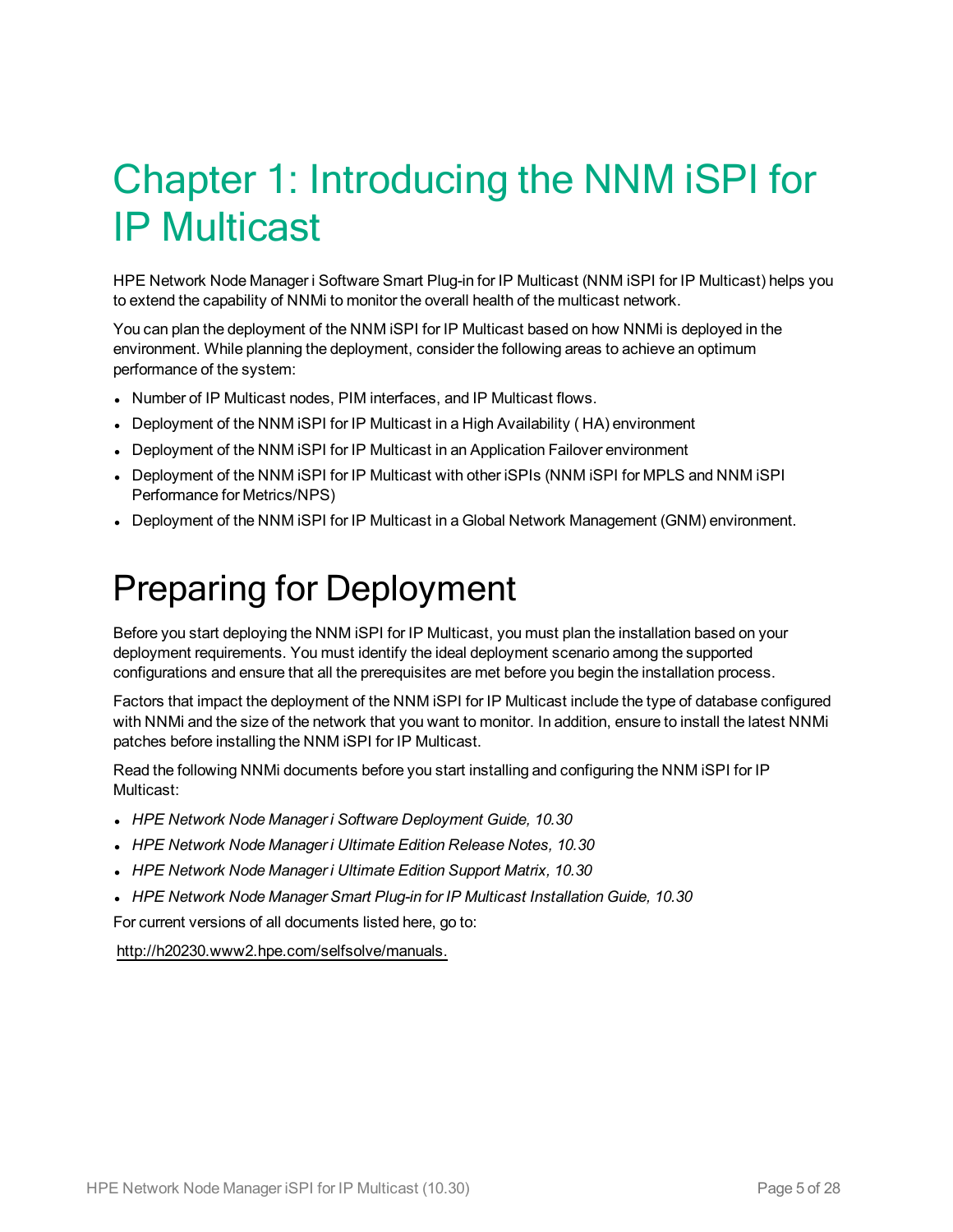# <span id="page-4-0"></span>Chapter 1: Introducing the NNM iSPI for IP Multicast

HPE Network Node Manager i Software Smart Plug-in for IP Multicast (NNM iSPI for IP Multicast) helps you to extend the capability of NNMi to monitor the overall health of the multicast network.

You can plan the deployment of the NNM iSPI for IP Multicast based on how NNMi is deployed in the environment. While planning the deployment, consider the following areas to achieve an optimum performance of the system:

- Number of IP Multicast nodes, PIM interfaces, and IP Multicast flows.
- Deployment of the NNM iSPI for IP Multicast in a High Availability (HA) environment
- Deployment of the NNM ISPI for IP Multicast in an Application Failover environment
- Deployment of the NNM iSPI for IP Multicast with other iSPIs (NNM iSPI for MPLS and NNM iSPI Performance for Metrics/NPS)
- <span id="page-4-1"></span>• Deployment of the NNM iSPI for IP Multicast in a Global Network Management (GNM) environment.

### Preparing for Deployment

Before you start deploying the NNM iSPI for IP Multicast, you must plan the installation based on your deployment requirements. You must identify the ideal deployment scenario among the supported configurations and ensure that all the prerequisites are met before you begin the installation process.

Factors that impact the deployment of the NNM iSPI for IP Multicast include the type of database configured with NNMi and the size of the network that you want to monitor. In addition, ensure to install the latest NNMi patches before installing the NNM iSPI for IP Multicast.

Read the following NNMi documents before you start installing and configuring the NNM iSPI for IP Multicast:

- <sup>l</sup> *HPE Network Node Manager i Software Deployment Guide, 10.30*
- <sup>l</sup> *HPE Network Node Manager i Ultimate Edition Release Notes, 10.30*
- <sup>l</sup> *HPE Network Node Manager i Ultimate Edition Support Matrix, 10.30*
- <sup>l</sup> *HPE Network Node Manager Smart Plug-in for IP Multicast Installation Guide, 10.30*

For current versions of all documents listed here, go to:

http://h20230.www2.hpe.com/selfsolve/manuals.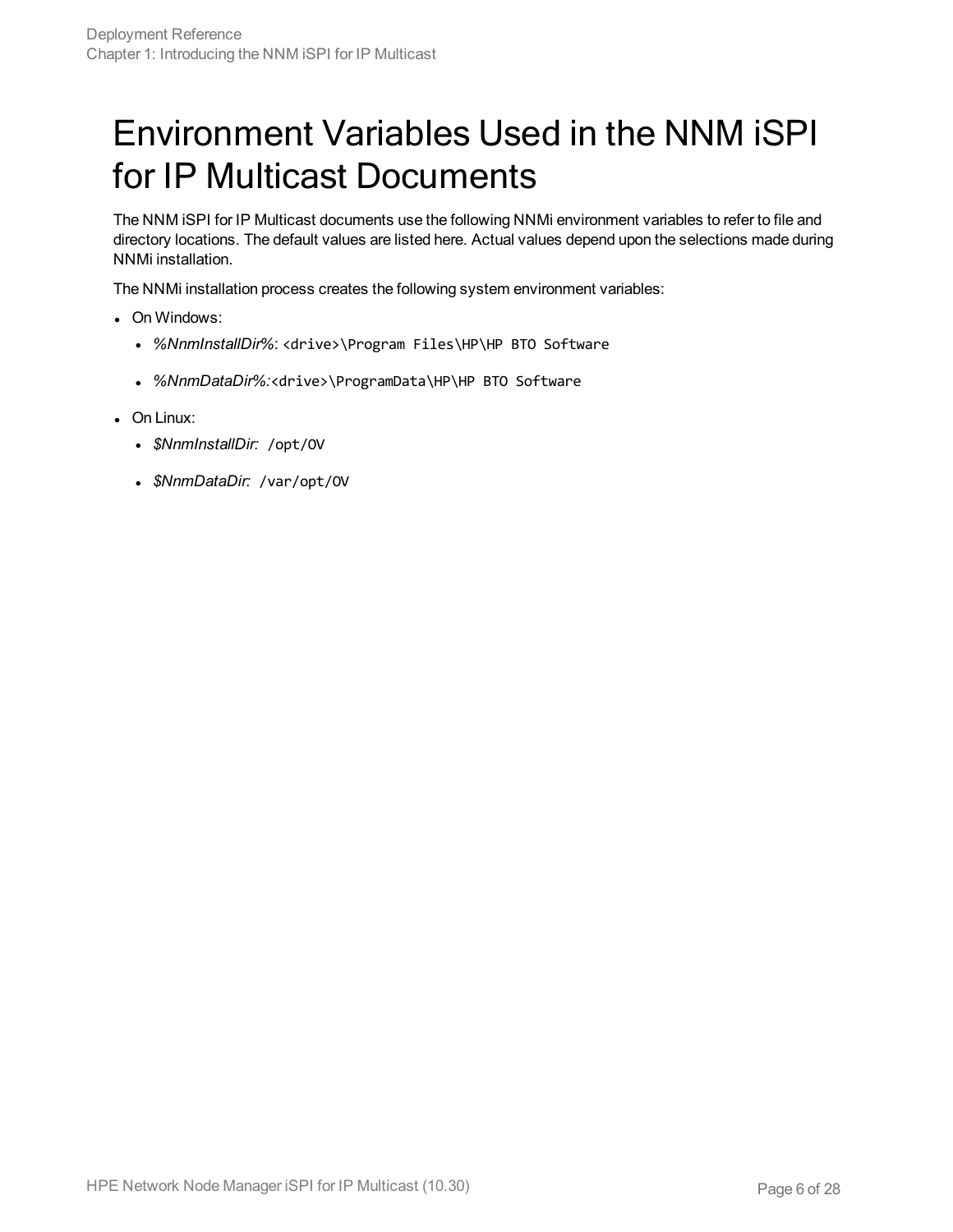## <span id="page-5-0"></span>Environment Variables Used in the NNM iSPI for IP Multicast Documents

The NNM iSPI for IP Multicast documents use the following NNMi environment variables to refer to file and directory locations. The default values are listed here. Actual values depend upon the selections made during NNMi installation.

The NNMi installation process creates the following system environment variables:

- On Windows:
	- %NnmInstallDir%: <drive>\Program Files\HP\HP BTO Software
	- <sup>l</sup> *%NnmDataDir%:*<drive>\ProgramData\HP\HP BTO Software
- On Linux:
	- <sup>l</sup> *\$NnmInstallDir:* /opt/OV
	- <sup>l</sup> *\$NnmDataDir:* /var/opt/OV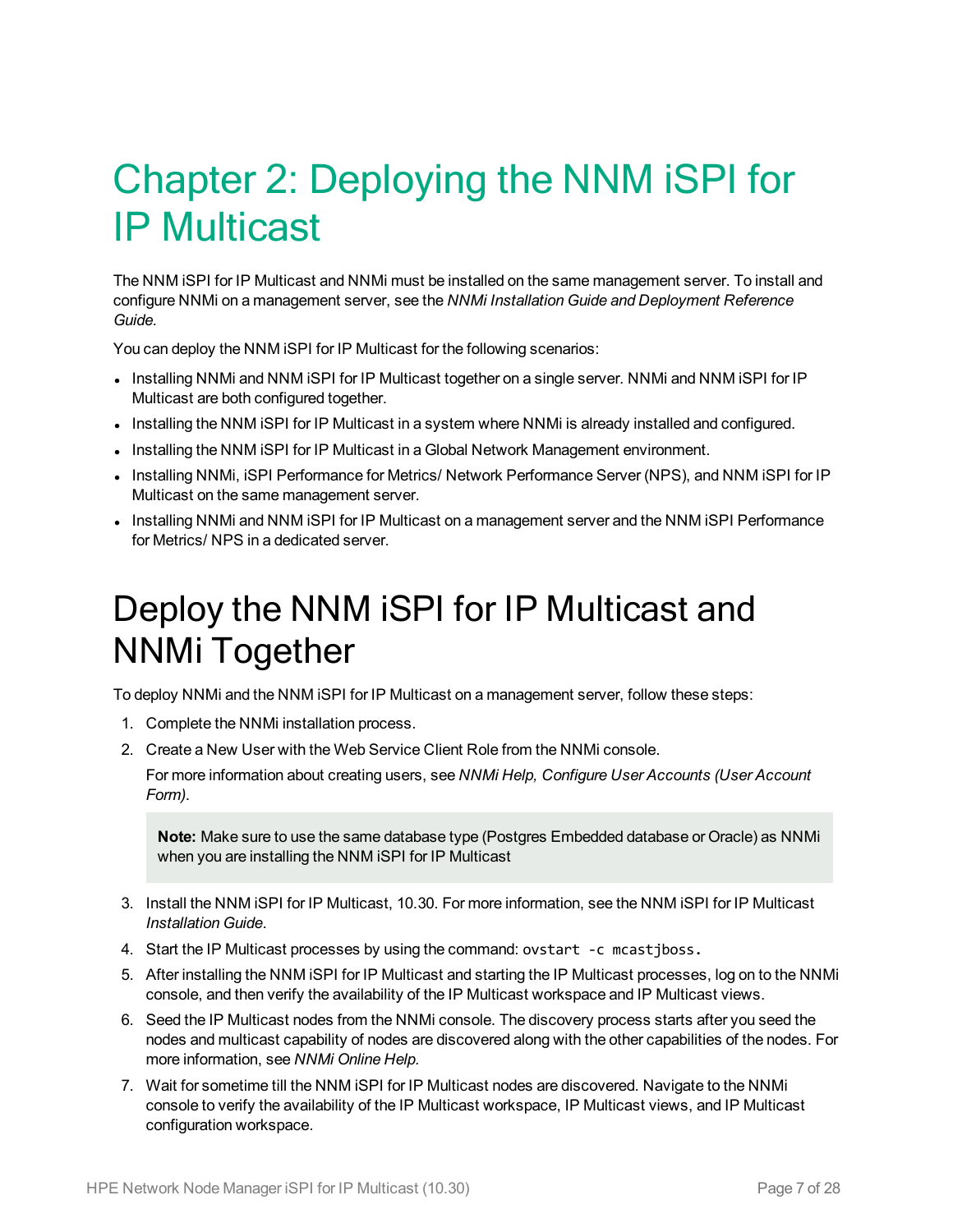# <span id="page-6-0"></span>Chapter 2: Deploying the NNM iSPI for IP Multicast

The NNM iSPI for IP Multicast and NNMi must be installed on the same management server. To install and configure NNMi on a management server, see the *NNMi Installation Guide and Deployment Reference Guide.*

You can deploy the NNM iSPI for IP Multicast for the following scenarios:

- Installing NNMi and NNM iSPI for IP Multicast together on a single server. NNMi and NNM iSPI for IP Multicast are both configured together.
- Installing the NNM iSPI for IP Multicast in a system where NNMi is already installed and configured.
- Installing the NNM iSPI for IP Multicast in a Global Network Management environment.
- Installing NNMi, iSPI Performance for Metrics/ Network Performance Server (NPS), and NNM iSPI for IP Multicast on the same management server.
- <span id="page-6-1"></span>• Installing NNMi and NNM iSPI for IP Multicast on a management server and the NNM iSPI Performance for Metrics/ NPS in a dedicated server.

### Deploy the NNM iSPI for IP Multicast and NNMi Together

To deploy NNMi and the NNM iSPI for IP Multicast on a management server, follow these steps:

- 1. Complete the NNMi installation process.
- 2. Create a New User with the Web Service Client Role from the NNMi console.

For more information about creating users, see *NNMi Help, Configure User Accounts (User Account Form)*.

**Note:** Make sure to use the same database type (Postgres Embedded database or Oracle) as NNMi when you are installing the NNM iSPI for IP Multicast

- 3. Install the NNM iSPI for IP Multicast, 10.30. For more information, see the NNM iSPI for IP Multicast *Installation Guide*.
- 4. Start the IP Multicast processes by using the command: ovstart -c mcastjboss.
- 5. After installing the NNM iSPI for IP Multicast and starting the IP Multicast processes, log on to the NNMi console, and then verify the availability of the IP Multicast workspace and IP Multicast views.
- 6. Seed the IP Multicast nodes from the NNMi console. The discovery process starts after you seed the nodes and multicast capability of nodes are discovered along with the other capabilities of the nodes. For more information, see *NNMi Online Help.*
- 7. Wait for sometime till the NNM iSPI for IP Multicast nodes are discovered. Navigate to the NNMi console to verify the availability of the IP Multicast workspace, IP Multicast views, and IP Multicast configuration workspace.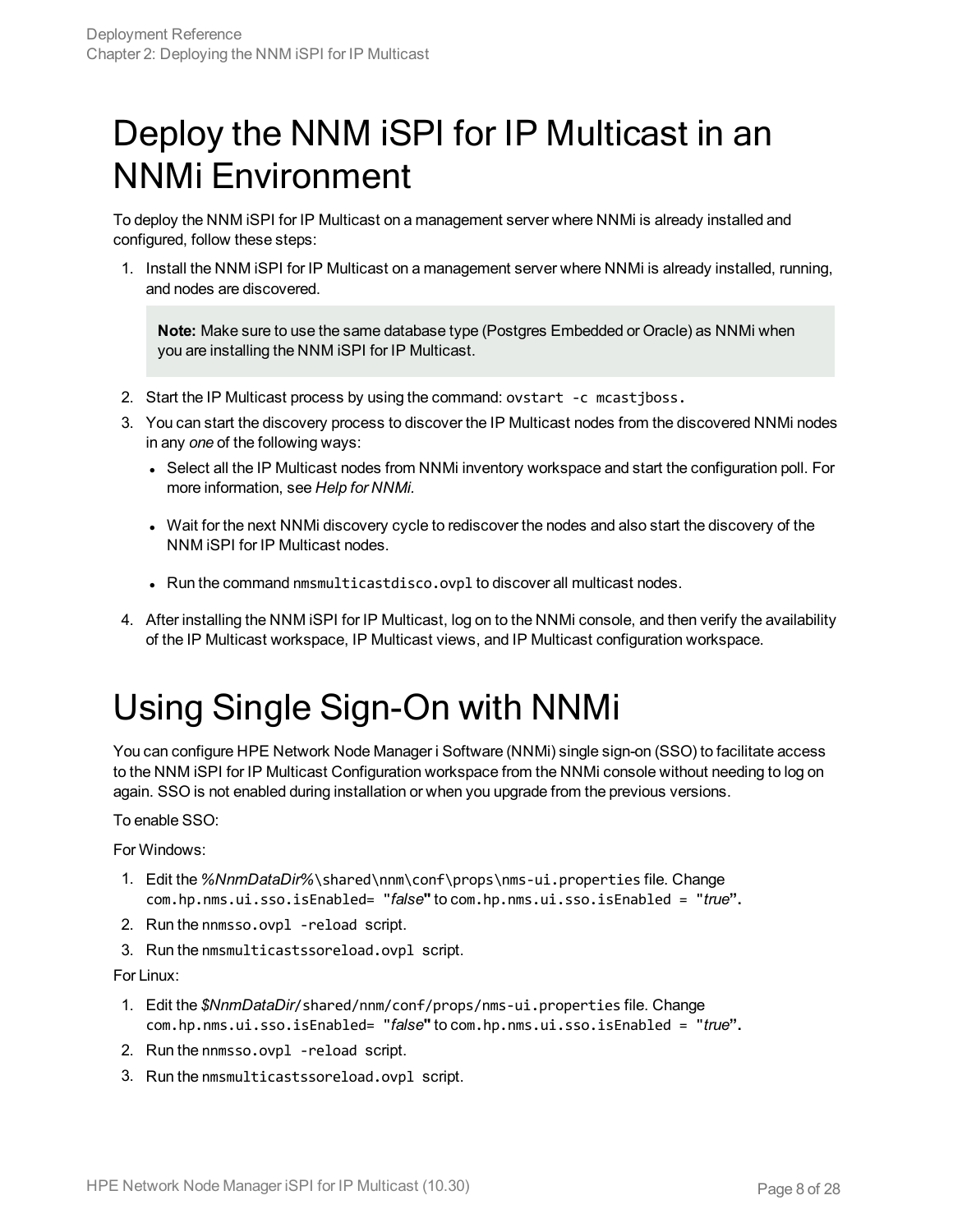## <span id="page-7-0"></span>Deploy the NNM iSPI for IP Multicast in an NNMi Environment

To deploy the NNM iSPI for IP Multicast on a management server where NNMi is already installed and configured, follow these steps:

1. Install the NNM iSPI for IP Multicast on a management server where NNMi is already installed, running, and nodes are discovered.

**Note:** Make sure to use the same database type (Postgres Embedded or Oracle) as NNMi when you are installing the NNM iSPI for IP Multicast.

- 2. Start the IP Multicast process by using the command: ovstart -c mcastjboss.
- 3. You can start the discovery process to discover the IP Multicast nodes from the discovered NNMi nodes in any *one* of the following ways:
	- Select all the IP Multicast nodes from NNMi inventory workspace and start the configuration poll. For more information, see *Help for NNMi.*
	- Wait for the next NNMi discovery cycle to rediscover the nodes and also start the discovery of the NNM iSPI for IP Multicast nodes.
	- Run the command nmsmulticastdisco.ovpl to discover all multicast nodes.
- <span id="page-7-1"></span>4. After installing the NNM iSPI for IP Multicast, log on to the NNMi console, and then verify the availability of the IP Multicast workspace, IP Multicast views, and IP Multicast configuration workspace.

## Using Single Sign-On with NNMi

You can configure HPE Network Node Manager i Software (NNMi) single sign-on (SSO) to facilitate access to the NNM iSPI for IP Multicast Configuration workspace from the NNMi console without needing to log on again. SSO is not enabled during installation or when you upgrade from the previous versions.

#### To enable SSO:

For Windows:

- 1. Edit the *%NnmDataDir%*\shared\nnm\conf\props\nms-ui.properties file. Change com.hp.nms.ui.sso.isEnabled= "*false***"** to com.hp.nms.ui.sso.isEnabled = "*true***".**
- 2. Run the nnmsso.ovpl -reload script.
- 3. Run the nmsmulticastssoreload.ovpl script.

For Linux:

- 1. Edit the *\$NnmDataDir*/shared/nnm/conf/props/nms-ui.properties file. Change com.hp.nms.ui.sso.isEnabled= "*false***"** to com.hp.nms.ui.sso.isEnabled = "*true***".**
- 2. Run the nnmsso.ovpl -reload script.
- 3. Run the nmsmulticastssoreload.ovpl script.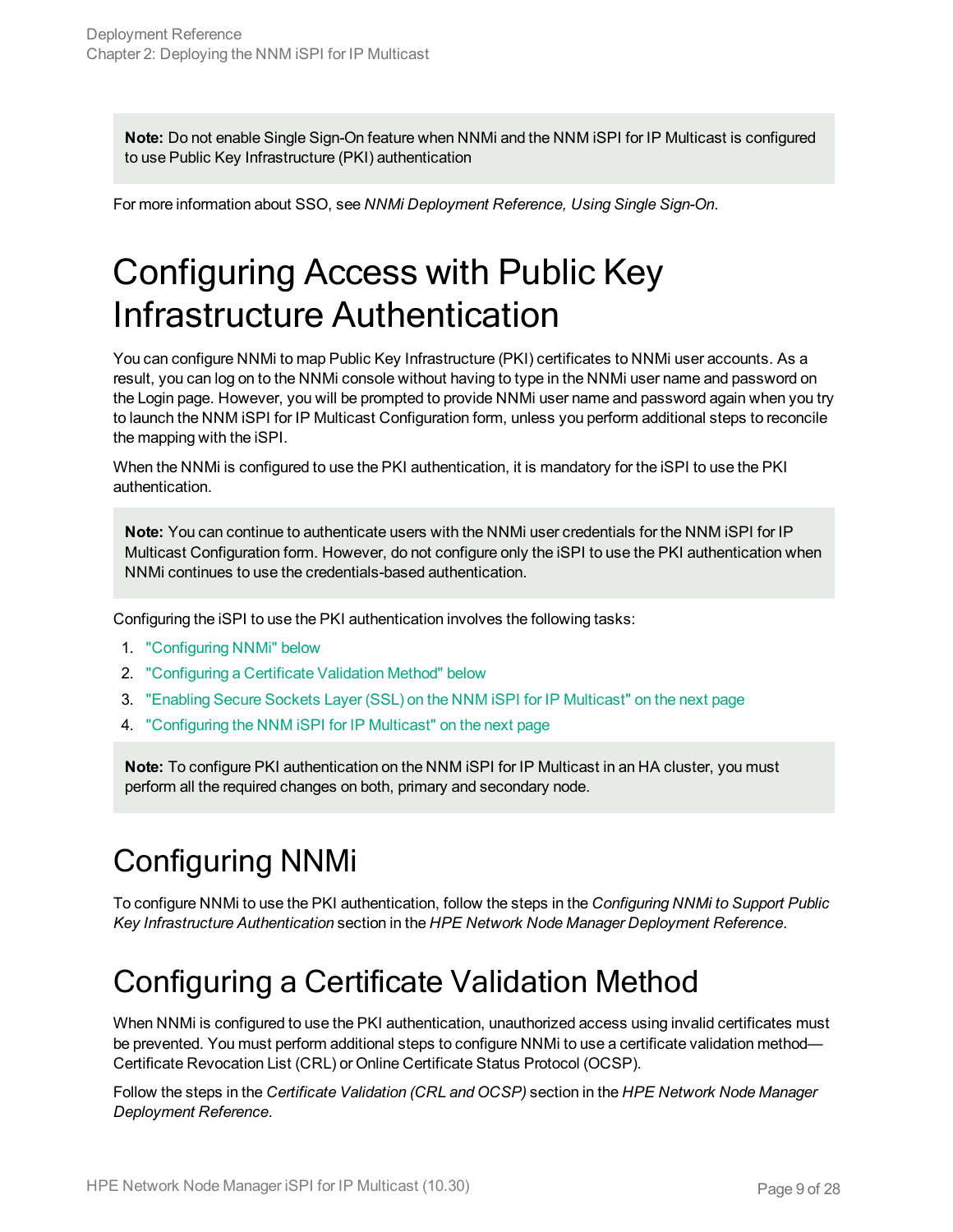**Note:** Do not enable Single Sign-On feature when NNMi and the NNM iSPI for IP Multicast is configured to use Public Key Infrastructure (PKI) authentication

<span id="page-8-0"></span>For more information about SSO, see *NNMi Deployment Reference, Using Single Sign-On*.

## Configuring Access with Public Key Infrastructure Authentication

You can configure NNMi to map Public Key Infrastructure (PKI) certificates to NNMi user accounts. As a result, you can log on to the NNMi console without having to type in the NNMi user name and password on the Login page. However, you will be prompted to provide NNMi user name and password again when you try to launch the NNM iSPI for IP Multicast Configuration form, unless you perform additional steps to reconcile the mapping with the iSPI.

When the NNMi is configured to use the PKI authentication, it is mandatory for the iSPI to use the PKI authentication.

**Note:** You can continue to authenticate users with the NNMi user credentials for the NNM iSPI for IP Multicast Configuration form. However, do not configure only the iSPI to use the PKI authentication when NNMi continues to use the credentials-based authentication.

Configuring the iSPI to use the PKI authentication involves the following tasks:

- 1. ["Configuring](#page-8-1) NNMi" below
- 2. ["Configuring](#page-8-2) a Certificate Validation Method" below
- 3. "Enabling Secure Sockets Layer (SSL) on the NNM iSPI for IP [Multicast"](#page-9-0) on the next page
- 4. ["Configuring](#page-9-1) the NNM iSPI for IP Multicast" on the next page

**Note:** To configure PKI authentication on the NNM iSPI for IP Multicast in an HA cluster, you must perform all the required changes on both, primary and secondary node.

### <span id="page-8-1"></span>Configuring NNMi

<span id="page-8-2"></span>To configure NNMi to use the PKI authentication, follow the steps in the *Configuring NNMi to Support Public Key Infrastructure Authentication* section in the *HPE Network Node Manager Deployment Reference*.

#### Configuring a Certificate Validation Method

When NNMi is configured to use the PKI authentication, unauthorized access using invalid certificates must be prevented. You must perform additional steps to configure NNMi to use a certificate validation method— Certificate Revocation List (CRL) or Online Certificate Status Protocol (OCSP).

Follow the steps in the *Certificate Validation (CRL and OCSP)* section in the *HPE Network Node Manager Deployment Reference*.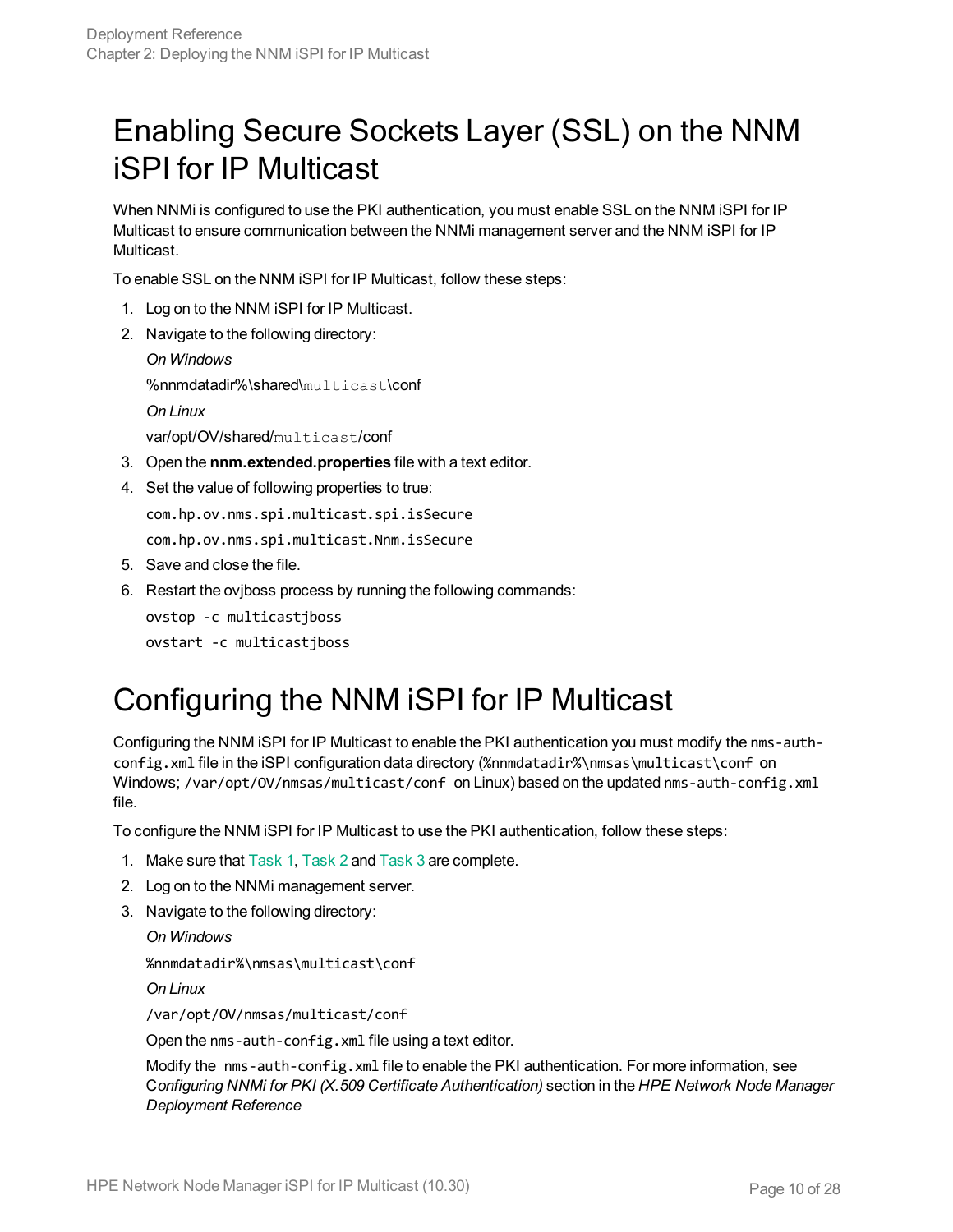#### <span id="page-9-2"></span><span id="page-9-0"></span>Enabling Secure Sockets Layer (SSL) on the NNM iSPI for IP Multicast

When NNMi is configured to use the PKI authentication, you must enable SSL on the NNM iSPI for IP Multicast to ensure communication between the NNMi management server and the NNM iSPI for IP Multicast.

To enable SSL on the NNM iSPI for IP Multicast, follow these steps:

- 1. Log on to the NNM iSPI for IP Multicast.
- 2. Navigate to the following directory:

```
On Windows
%nnmdatadir%\shared\multicast\conf
On Linux
var/opt/OV/shared/multicast/conf
```
- 3. Open the **nnm.extended.properties** file with a text editor.
- 4. Set the value of following properties to true:

com.hp.ov.nms.spi.multicast.spi.isSecure

com.hp.ov.nms.spi.multicast.Nnm.isSecure

- 5. Save and close the file.
- 6. Restart the ovjboss process by running the following commands:

ovstop -c multicastjboss

<span id="page-9-1"></span>ovstart -c multicastjboss

#### Configuring the NNM iSPI for IP Multicast

Configuring the NNM iSPI for IP Multicast to enable the PKI authentication you must modify the nms-authconfig.xml file in the iSPI configuration data directory (%nnmdatadir%\nmsas\multicast\conf on Windows; /var/opt/OV/nmsas/multicast/conf on Linux) based on the updated nms-auth-config.xml file.

To configure the NNM iSPI for IP Multicast to use the PKI authentication, follow these steps:

- 1. Make sure that [Task 1](#page-8-1), [Task 2](#page-8-2) and [Task 3](#page-9-2) are complete.
- 2. Log on to the NNMi management server.
- 3. Navigate to the following directory:

*On Windows*

%nnmdatadir%\nmsas\multicast\conf

*On Linux*

/var/opt/OV/nmsas/multicast/conf

Open the nms-auth-config.xml file using a text editor.

Modify the nms-auth-config.xml file to enable the PKI authentication. For more information, see C*onfiguring NNMi for PKI (X.509 Certificate Authentication)* section in the *HPE Network Node Manager Deployment Reference*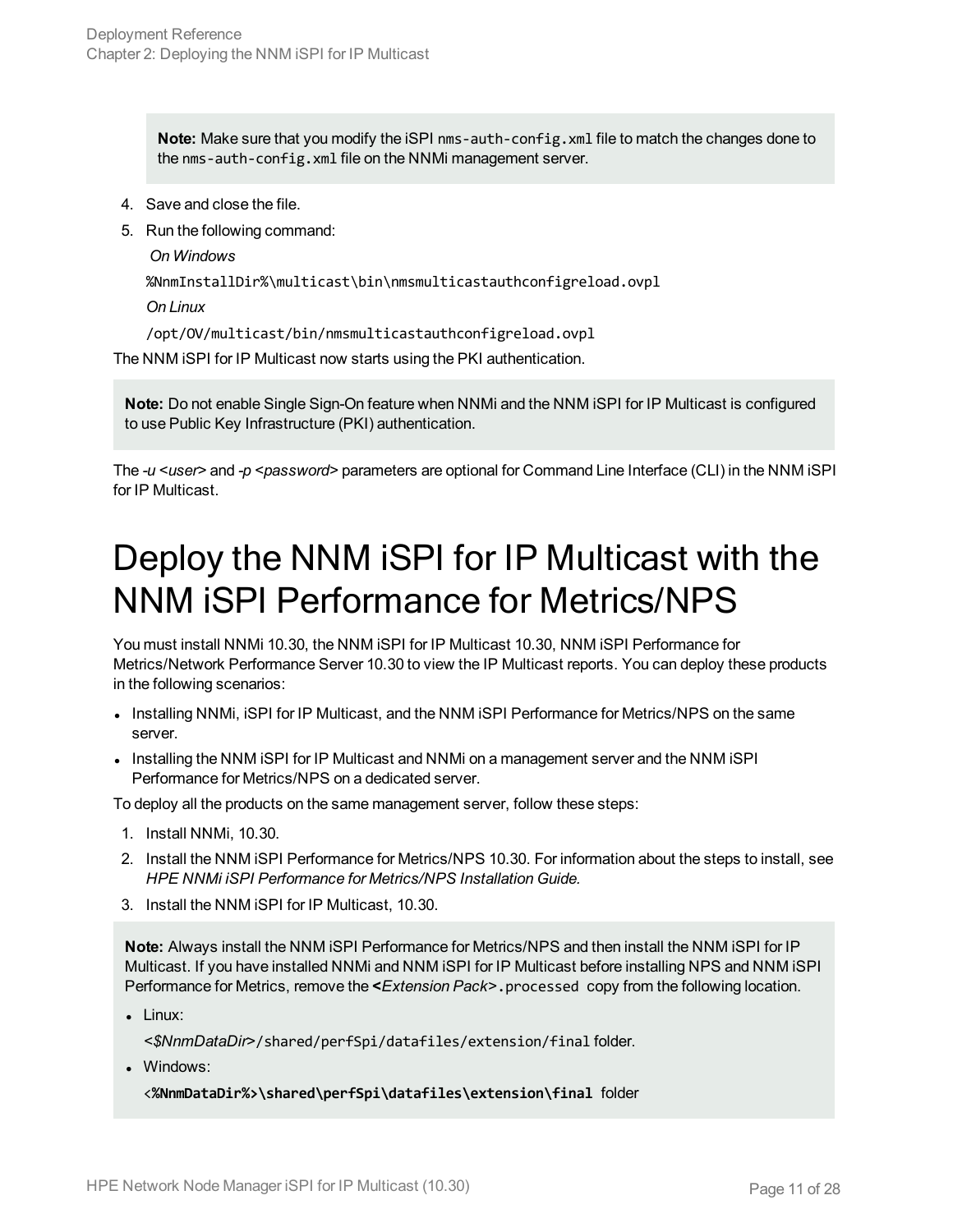**Note:** Make sure that you modify the iSPI nms-auth-config.xml file to match the changes done to the nms-auth-config.xml file on the NNMi management server.

- 4. Save and close the file.
- 5. Run the following command:

*On Windows*

%NnmInstallDir%\multicast\bin\nmsmulticastauthconfigreload.ovpl

*On Linux*

/opt/OV/multicast/bin/nmsmulticastauthconfigreload.ovpl

The NNM iSPI for IP Multicast now starts using the PKI authentication.

**Note:** Do not enable Single Sign-On feature when NNMi and the NNM iSPI for IP Multicast is configured to use Public Key Infrastructure (PKI) authentication.

<span id="page-10-0"></span>The *-u* <user> and *-p* <password> parameters are optional for Command Line Interface (CLI) in the NNM iSPI for IP Multicast.

## Deploy the NNM iSPI for IP Multicast with the NNM iSPI Performance for Metrics/NPS

You must install NNMi 10.30, the NNM iSPI for IP Multicast 10.30, NNM iSPI Performance for Metrics/Network Performance Server 10.30 to view the IP Multicast reports. You can deploy these products in the following scenarios:

- Installing NNMi, ISPI for IP Multicast, and the NNM ISPI Performance for Metrics/NPS on the same server.
- Installing the NNM ISPI for IP Multicast and NNMI on a management server and the NNM ISPI Performance for Metrics/NPS on a dedicated server.

To deploy all the products on the same management server, follow these steps:

- 1. Install NNMi, 10.30.
- 2. Install the NNM iSPI Performance for Metrics/NPS 10.30. For information about the steps to install, see *HPE NNMi iSPI Performance for Metrics/NPS Installation Guide.*
- 3. Install the NNM iSPI for IP Multicast, 10.30.

**Note:** Always install the NNM iSPI Performance for Metrics/NPS and then install the NNM iSPI for IP Multicast. If you have installed NNMi and NNM iSPI for IP Multicast before installing NPS and NNM iSPI Performance for Metrics, remove the **<***Extension Pack>*.processed copy from the following location.

 $\bullet$  Linux:

*<\$NnmDataDir>*/shared/perfSpi/datafiles/extension/final folder.

• Windows:

<**%NnmDataDir%>\shared\perfSpi\datafiles\extension\final** folder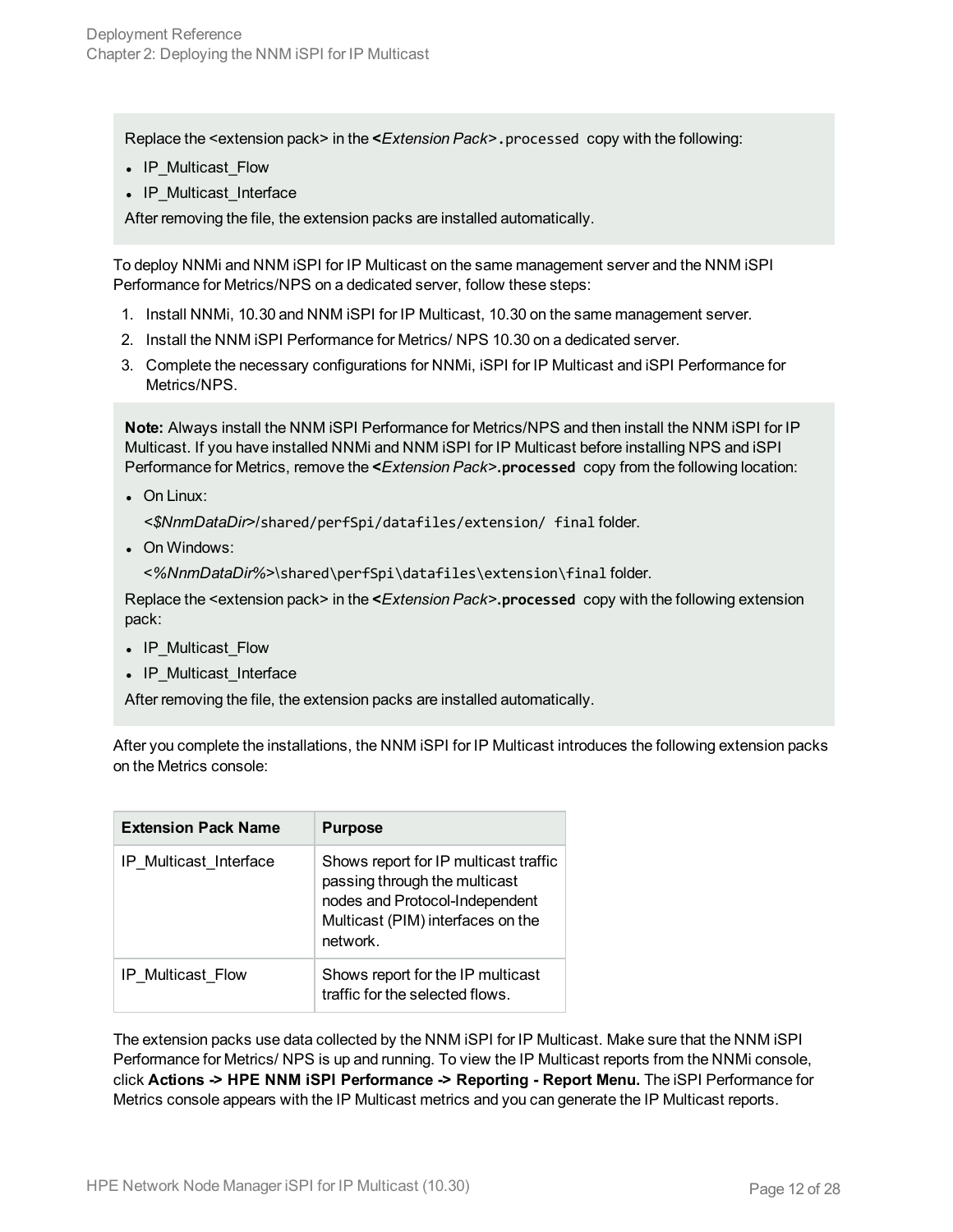Replace the <extension pack> in the **<***Extension Pack>*.processed copy with the following:

- IP Multicast Flow
- IP Multicast Interface

After removing the file, the extension packs are installed automatically.

To deploy NNMi and NNM iSPI for IP Multicast on the same management server and the NNM iSPI Performance for Metrics/NPS on a dedicated server, follow these steps:

- 1. Install NNMi, 10.30 and NNM iSPI for IP Multicast, 10.30 on the same management server.
- 2. Install the NNM iSPI Performance for Metrics/ NPS 10.30 on a dedicated server.
- 3. Complete the necessary configurations for NNMi, iSPI for IP Multicast and iSPI Performance for Metrics/NPS.

**Note:** Always install the NNM iSPI Performance for Metrics/NPS and then install the NNM iSPI for IP Multicast. If you have installed NNMi and NNM iSPI for IP Multicast before installing NPS and iSPI Performance for Metrics, remove the **<***Extension Pack>***.processed** copy from the following location:

 $\bullet$  On Linux:

*<\$NnmDataDir>*/shared/perfSpi/datafiles/extension/ final folder.

• On Windows:

<*%NnmDataDir%*>\shared\perfSpi\datafiles\extension\final folder.

Replace the <extension pack> in the **<***Extension Pack>***.processed** copy with the following extension pack:

- IP Multicast Flow
- IP Multicast Interface

After removing the file, the extension packs are installed automatically.

After you complete the installations, the NNM iSPI for IP Multicast introduces the following extension packs on the Metrics console:

| <b>Extension Pack Name</b> | <b>Purpose</b>                                                                                                                                            |
|----------------------------|-----------------------------------------------------------------------------------------------------------------------------------------------------------|
| IP Multicast_Interface     | Shows report for IP multicast traffic<br>passing through the multicast<br>nodes and Protocol-Independent<br>Multicast (PIM) interfaces on the<br>network. |
| <b>IP Multicast Flow</b>   | Shows report for the IP multicast<br>traffic for the selected flows.                                                                                      |

The extension packs use data collected by the NNM iSPI for IP Multicast. Make sure that the NNM iSPI Performance for Metrics/ NPS is up and running. To view the IP Multicast reports from the NNMi console, click **Actions -> HPE NNM iSPI Performance -> Reporting - Report Menu.** The iSPI Performance for Metrics console appears with the IP Multicast metrics and you can generate the IP Multicast reports.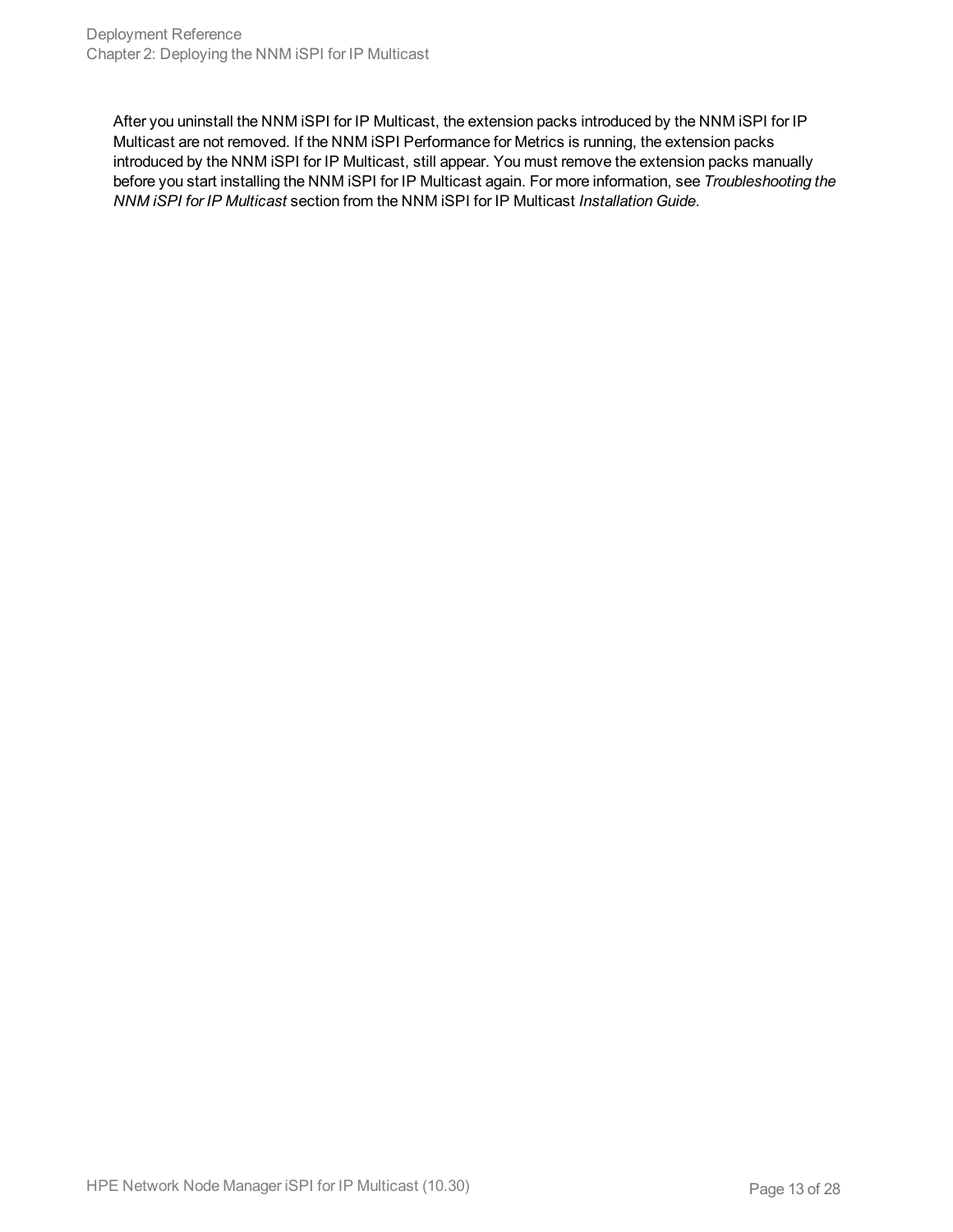After you uninstall the NNM iSPI for IP Multicast, the extension packs introduced by the NNM iSPI for IP Multicast are not removed. If the NNM iSPI Performance for Metrics is running, the extension packs introduced by the NNM iSPI for IP Multicast, still appear. You must remove the extension packs manually before you start installing the NNM iSPI for IP Multicast again. For more information, see *Troubleshooting the NNM iSPI for IP Multicast* section from the NNM iSPI for IP Multicast *Installation Guide*.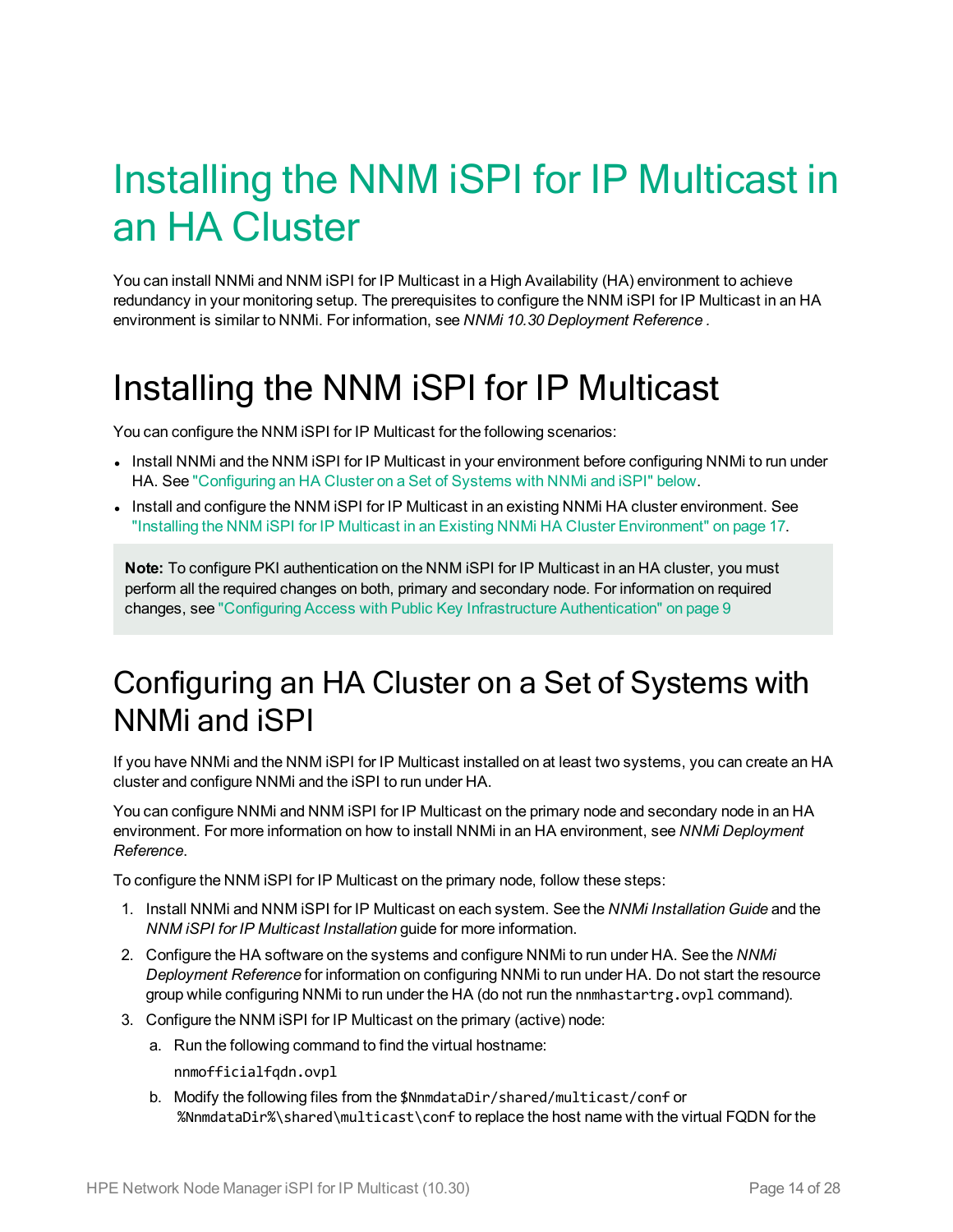# <span id="page-13-0"></span>Installing the NNM iSPI for IP Multicast in an HA Cluster

You can install NNMi and NNM iSPI for IP Multicast in a High Availability (HA) environment to achieve redundancy in your monitoring setup. The prerequisites to configure the NNM iSPI for IP Multicast in an HA environment is similar to NNMi. For information, see *NNMi 10.30 Deployment Reference .*

## <span id="page-13-1"></span>Installing the NNM iSPI for IP Multicast

You can configure the NNM iSPI for IP Multicast for the following scenarios:

- Install NNMi and the NNM iSPI for IP Multicast in your environment before configuring NNMi to run under HA. See ["Configuring](#page-13-2) an HA Cluster on a Set of Systems with NNMi and iSPI" below.
- Install and configure the NNM iSPI for IP Multicast in an existing NNMi HA cluster environment. See "Installing the NNM iSPI for IP Multicast in an Existing NNMi HA Cluster [Environment"](#page-16-0) on page 17.

**Note:** To configure PKI authentication on the NNM iSPI for IP Multicast in an HA cluster, you must perform all the required changes on both, primary and secondary node. For information on required changes, see "Configuring Access with Public Key Infrastructure [Authentication"](#page-8-0) on page 9

#### <span id="page-13-2"></span>Configuring an HA Cluster on a Set of Systems with NNMi and iSPI

If you have NNMi and the NNM iSPI for IP Multicast installed on at least two systems, you can create an HA cluster and configure NNMi and the iSPI to run under HA.

You can configure NNMi and NNM iSPI for IP Multicast on the primary node and secondary node in an HA environment. For more information on how to install NNMi in an HA environment, see *NNMi Deployment Reference*.

To configure the NNM iSPI for IP Multicast on the primary node, follow these steps:

- 1. Install NNMi and NNM iSPI for IP Multicast on each system. See the *NNMi Installation Guide* and the *NNM iSPI for IP Multicast Installation* guide for more information.
- 2. Configure the HA software on the systems and configure NNMi to run under HA. See the *NNMi Deployment Reference* for information on configuring NNMi to run under HA. Do not start the resource group while configuring NNMi to run under the HA (do not run the nnmhastartrg.ovpl command).
- 3. Configure the NNM iSPI for IP Multicast on the primary (active) node:
	- a. Run the following command to find the virtual hostname:
		- nnmofficialfqdn.ovpl
	- b. Modify the following files from the \$NnmdataDir/shared/multicast/conf or %NnmdataDir%\shared\multicast\conf to replace the host name with the virtual FQDN for the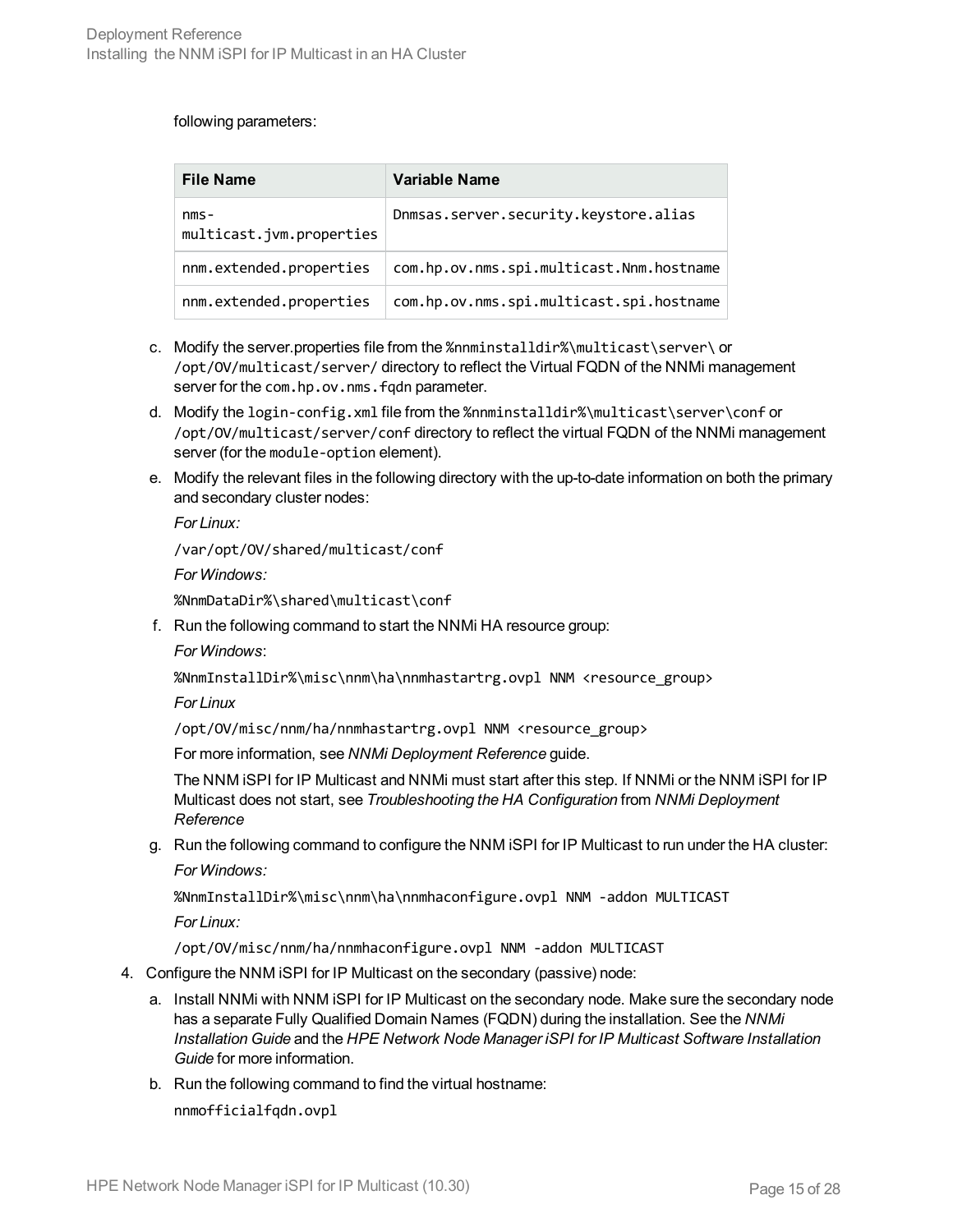#### following parameters:

| <b>File Name</b>                    | Variable Name                            |
|-------------------------------------|------------------------------------------|
| $nms -$<br>multicast.jvm.properties | Dnmsas.server.security.keystore.alias    |
| nnm.extended.properties             | com.hp.ov.nms.spi.multicast.Nnm.hostname |
| nnm.extended.properties             | com.hp.ov.nms.spi.multicast.spi.hostname |

- c. Modify the server.properties file from the %nnminstalldir%\multicast\server\ or /opt/OV/multicast/server/ directory to reflect the Virtual FQDN of the NNMi management server for the com.hp.ov.nms.fqdn parameter.
- d. Modify the login-config.xml file from the %nnminstalldir%\multicast\server\conf or /opt/OV/multicast/server/conf directory to reflect the virtual FQDN of the NNMi management server (for the module-option element).
- e. Modify the relevant files in the following directory with the up-to-date information on both the primary and secondary cluster nodes:

*For Linux:*

/var/opt/OV/shared/multicast/conf

*For Windows:*

%NnmDataDir%\shared\multicast\conf

f. Run the following command to start the NNMi HA resource group:

*For Windows*:

%NnmInstallDir%\misc\nnm\ha\nnmhastartrg.ovpl NNM <resource\_group>

*For Linux*

/opt/OV/misc/nnm/ha/nnmhastartrg.ovpl NNM <resource\_group>

For more information, see *NNMi Deployment Reference* guide.

The NNM iSPI for IP Multicast and NNMi must start after this step. If NNMi or the NNM iSPI for IP Multicast does not start, see *Troubleshooting the HA Configuration* from *NNMi Deployment Reference*

g. Run the following command to configure the NNM iSPI for IP Multicast to run under the HA cluster: *For Windows:*

%NnmInstallDir%\misc\nnm\ha\nnmhaconfigure.ovpl NNM -addon MULTICAST

*For Linux:*

<span id="page-14-0"></span>/opt/OV/misc/nnm/ha/nnmhaconfigure.ovpl NNM -addon MULTICAST

- 4. Configure the NNM iSPI for IP Multicast on the secondary (passive) node:
	- a. Install NNMi with NNM iSPI for IP Multicast on the secondary node. Make sure the secondary node has a separate Fully Qualified Domain Names (FQDN) during the installation. See the *NNMi Installation Guide* and the *HPE Network Node Manager iSPI for IP Multicast Software Installation Guide* for more information.
	- b. Run the following command to find the virtual hostname:

nnmofficialfqdn.ovpl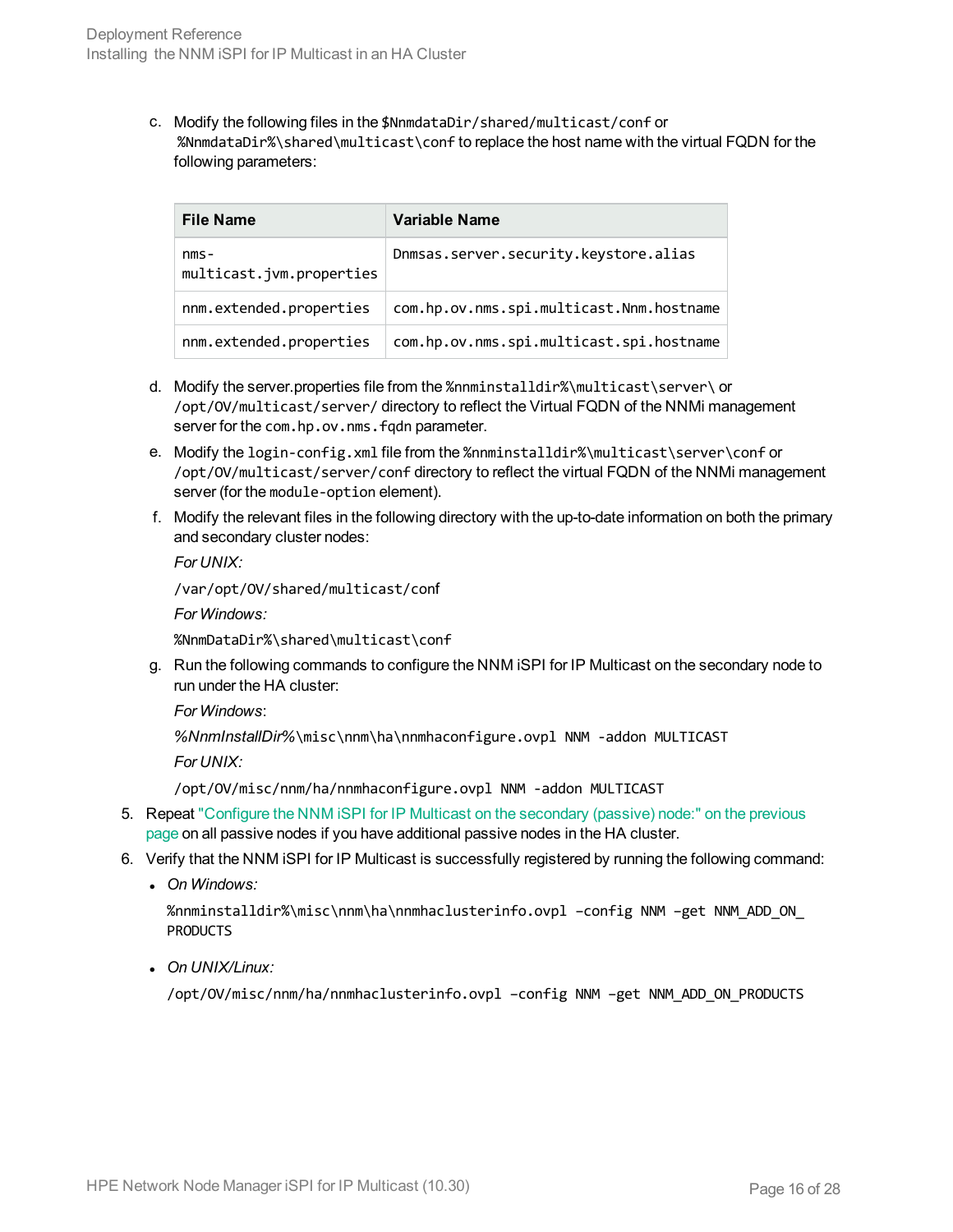c. Modify the following files in the \$NnmdataDir/shared/multicast/conf or %NnmdataDir%\shared\multicast\conf to replace the host name with the virtual FQDN for the following parameters:

| <b>File Name</b>                    | Variable Name                            |
|-------------------------------------|------------------------------------------|
| $nms -$<br>multicast.jvm.properties | Dnmsas.server.security.keystore.alias    |
| nnm.extended.properties             | com.hp.ov.nms.spi.multicast.Nnm.hostname |
| nnm.extended.properties             | com.hp.ov.nms.spi.multicast.spi.hostname |

- d. Modify the server.properties file from the %nnminstalldir%\multicast\server\ or /opt/OV/multicast/server/ directory to reflect the Virtual FQDN of the NNMi management server for the com.hp.ov.nms.fqdn parameter.
- e. Modify the login-config.xml file from the %nnminstalldir%\multicast\server\conf or /opt/OV/multicast/server/conf directory to reflect the virtual FQDN of the NNMi management server (for the module-option element).
- f. Modify the relevant files in the following directory with the up-to-date information on both the primary and secondary cluster nodes:

*For UNIX:*

/var/opt/OV/shared/multicast/conf

*For Windows:*

%NnmDataDir%\shared\multicast\conf

g. Run the following commands to configure the NNM iSPI for IP Multicast on the secondary node to run under the HA cluster:

*For Windows*:

*%NnmInstallDir%*\misc\nnm\ha\nnmhaconfigure.ovpl NNM -addon MULTICAST

*For UNIX:*

/opt/OV/misc/nnm/ha/nnmhaconfigure.ovpl NNM -addon MULTICAST

- 5. Repeat ["Configure](#page-14-0) the NNM iSPI for IP Multicast on the secondary (passive) node:" on the previous [page](#page-14-0) on all passive nodes if you have additional passive nodes in the HA cluster.
- 6. Verify that the NNM iSPI for IP Multicast is successfully registered by running the following command:
	- <sup>l</sup> *On Windows:*

%nnminstalldir%\misc\nnm\ha\nnmhaclusterinfo.ovpl –config NNM –get NNM\_ADD\_ON\_ PRODUCTS

<sup>l</sup> *On UNIX/Linux:*

/opt/OV/misc/nnm/ha/nnmhaclusterinfo.ovpl –config NNM –get NNM\_ADD\_ON\_PRODUCTS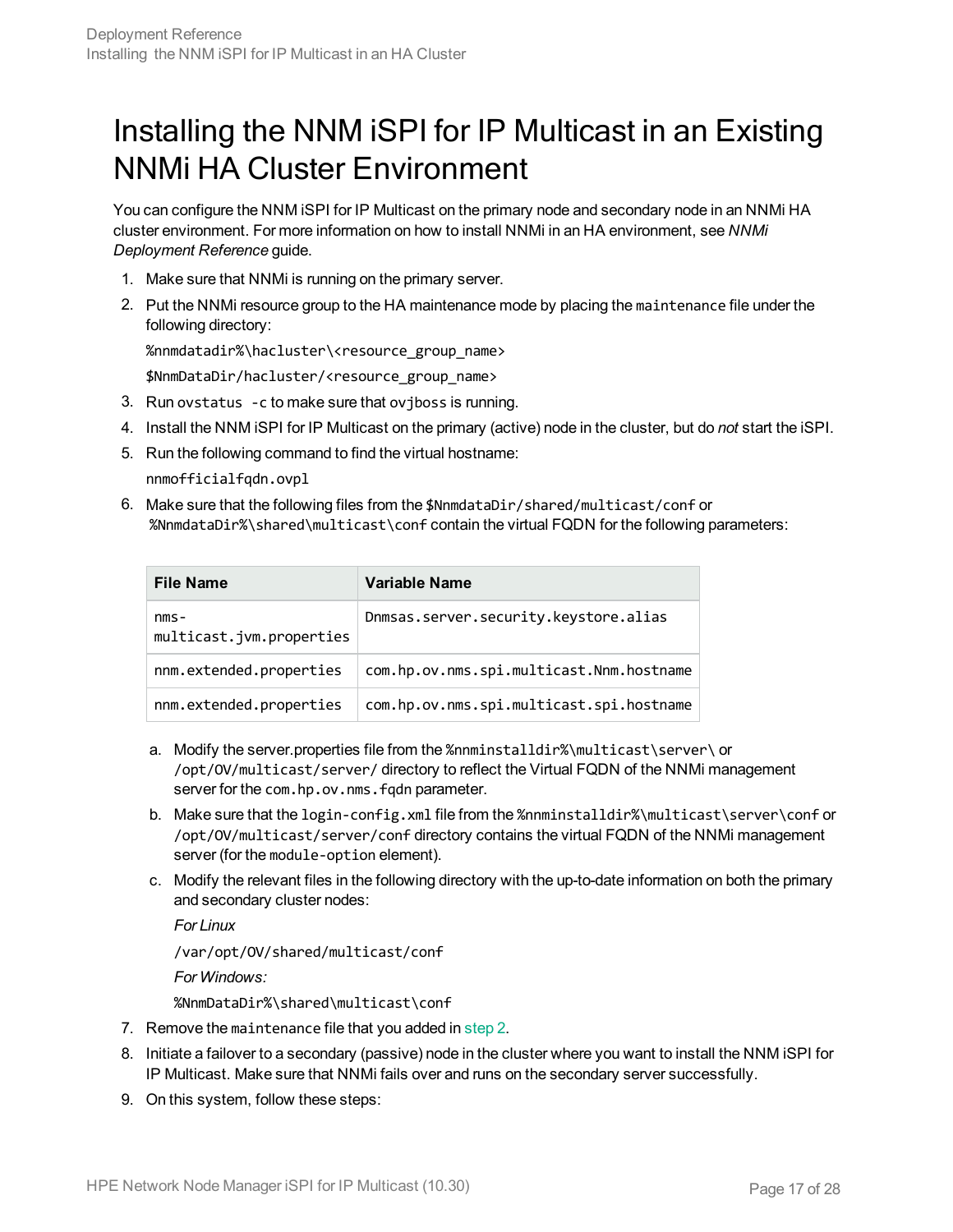#### <span id="page-16-0"></span>Installing the NNM iSPI for IP Multicast in an Existing NNMi HA Cluster Environment

You can configure the NNM iSPI for IP Multicast on the primary node and secondary node in an NNMi HA cluster environment. For more information on how to install NNMi in an HA environment, see *NNMi Deployment Reference* guide.

- <span id="page-16-1"></span>1. Make sure that NNMi is running on the primary server.
- 2. Put the NNMi resource group to the HA maintenance mode by placing the maintenance file under the following directory:

%nnmdatadir%\hacluster\<resource\_group\_name>

\$NnmDataDir/hacluster/<resource\_group\_name>

- 3. Run ovstatus -c to make sure that ovjboss is running.
- 4. Install the NNM iSPI for IP Multicast on the primary (active) node in the cluster, but do *not* start the iSPI.
- 5. Run the following command to find the virtual hostname:

nnmofficialfqdn.ovpl

6. Make sure that the following files from the \$NnmdataDir/shared/multicast/conf or %NnmdataDir%\shared\multicast\conf contain the virtual FQDN for the following parameters:

| <b>File Name</b>                    | Variable Name                            |
|-------------------------------------|------------------------------------------|
| $nms -$<br>multicast.jvm.properties | Dnmsas.server.security.keystore.alias    |
| nnm.extended.properties             | com.hp.ov.nms.spi.multicast.Nnm.hostname |
| nnm.extended.properties             | com.hp.ov.nms.spi.multicast.spi.hostname |

- a. Modify the server.properties file from the %nnminstalldir%\multicast\server\ or /opt/OV/multicast/server/ directory to reflect the Virtual FQDN of the NNMi management server for the com.hp.ov.nms.fqdn parameter.
- b. Make sure that the login-config.xml file from the %nnminstalldir%\multicast\server\conf or /opt/OV/multicast/server/conf directory contains the virtual FQDN of the NNMi management server (for the module-option element).
- c. Modify the relevant files in the following directory with the up-to-date information on both the primary and secondary cluster nodes:

*For Linux* /var/opt/OV/shared/multicast/conf *For Windows:* %NnmDataDir%\shared\multicast\conf

- 7. Remove the maintenance file that you added in [step 2.](#page-16-1)
- 8. Initiate a failover to a secondary (passive) node in the cluster where you want to install the NNM iSPI for IP Multicast. Make sure that NNMi fails over and runs on the secondary server successfully.
- 9. On this system, follow these steps: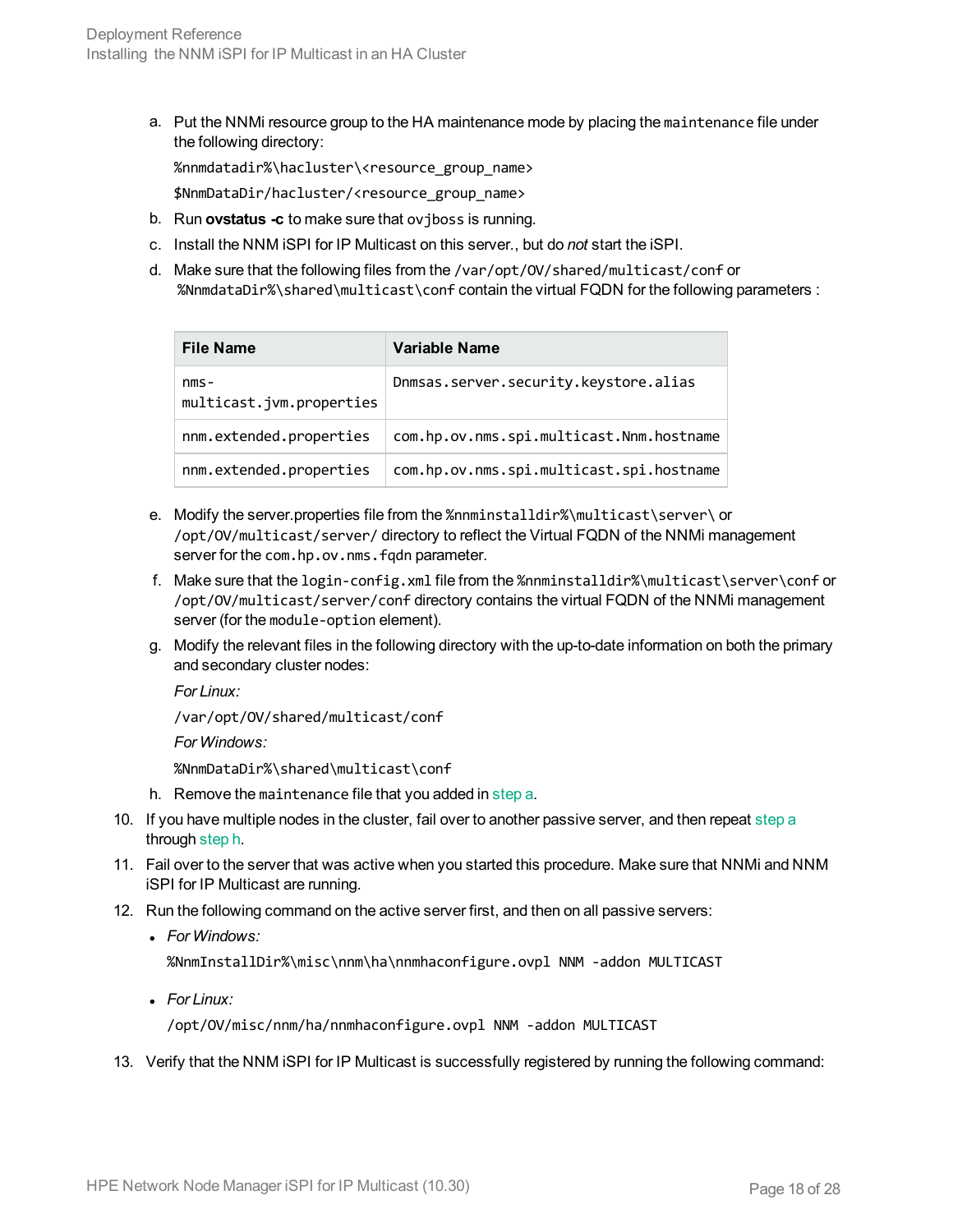<span id="page-17-0"></span>a. Put the NNMi resource group to the HA maintenance mode by placing the maintenance file under the following directory:

%nnmdatadir%\hacluster\<resource\_group\_name>

\$NnmDataDir/hacluster/<resource\_group\_name>

- b. Run **ovstatus -c** to make sure that ovjboss is running.
- c. Install the NNM iSPI for IP Multicast on this server., but do *not* start the iSPI.
- d. Make sure that the following files from the /var/opt/OV/shared/multicast/conf or %NnmdataDir%\shared\multicast\conf contain the virtual FQDN for the following parameters :

| <b>File Name</b>                    | Variable Name                            |
|-------------------------------------|------------------------------------------|
| $nms -$<br>multicast.jvm.properties | Dnmsas.server.security.keystore.alias    |
| nnm.extended.properties             | com.hp.ov.nms.spi.multicast.Nnm.hostname |
| nnm.extended.properties             | com.hp.ov.nms.spi.multicast.spi.hostname |

- e. Modify the server.properties file from the %nnminstalldir%\multicast\server\ or /opt/OV/multicast/server/ directory to reflect the Virtual FQDN of the NNMi management server for the com.hp.ov.nms.fqdn parameter.
- f. Make sure that the login-config.xml file from the %nnminstalldir%\multicast\server\conf or /opt/OV/multicast/server/conf directory contains the virtual FQDN of the NNMi management server (for the module-option element).
- g. Modify the relevant files in the following directory with the up-to-date information on both the primary and secondary cluster nodes:

*For Linux:*

/var/opt/OV/shared/multicast/conf

*For Windows:*

<span id="page-17-1"></span>%NnmDataDir%\shared\multicast\conf

- h. Remove the maintenance file that you added in [step a.](#page-17-0)
- 10. If you have multiple nodes in the cluster, fail over to another passive server, and then repeat [step a](#page-17-0) through [step h](#page-17-1).
- 11. Fail over to the server that was active when you started this procedure. Make sure that NNMi and NNM iSPI for IP Multicast are running.
- 12. Run the following command on the active server first, and then on all passive servers:
	- <sup>l</sup> *For Windows:*

%NnmInstallDir%\misc\nnm\ha\nnmhaconfigure.ovpl NNM -addon MULTICAST

<sup>l</sup> *For Linux:*

/opt/OV/misc/nnm/ha/nnmhaconfigure.ovpl NNM -addon MULTICAST

13. Verify that the NNM iSPI for IP Multicast is successfully registered by running the following command: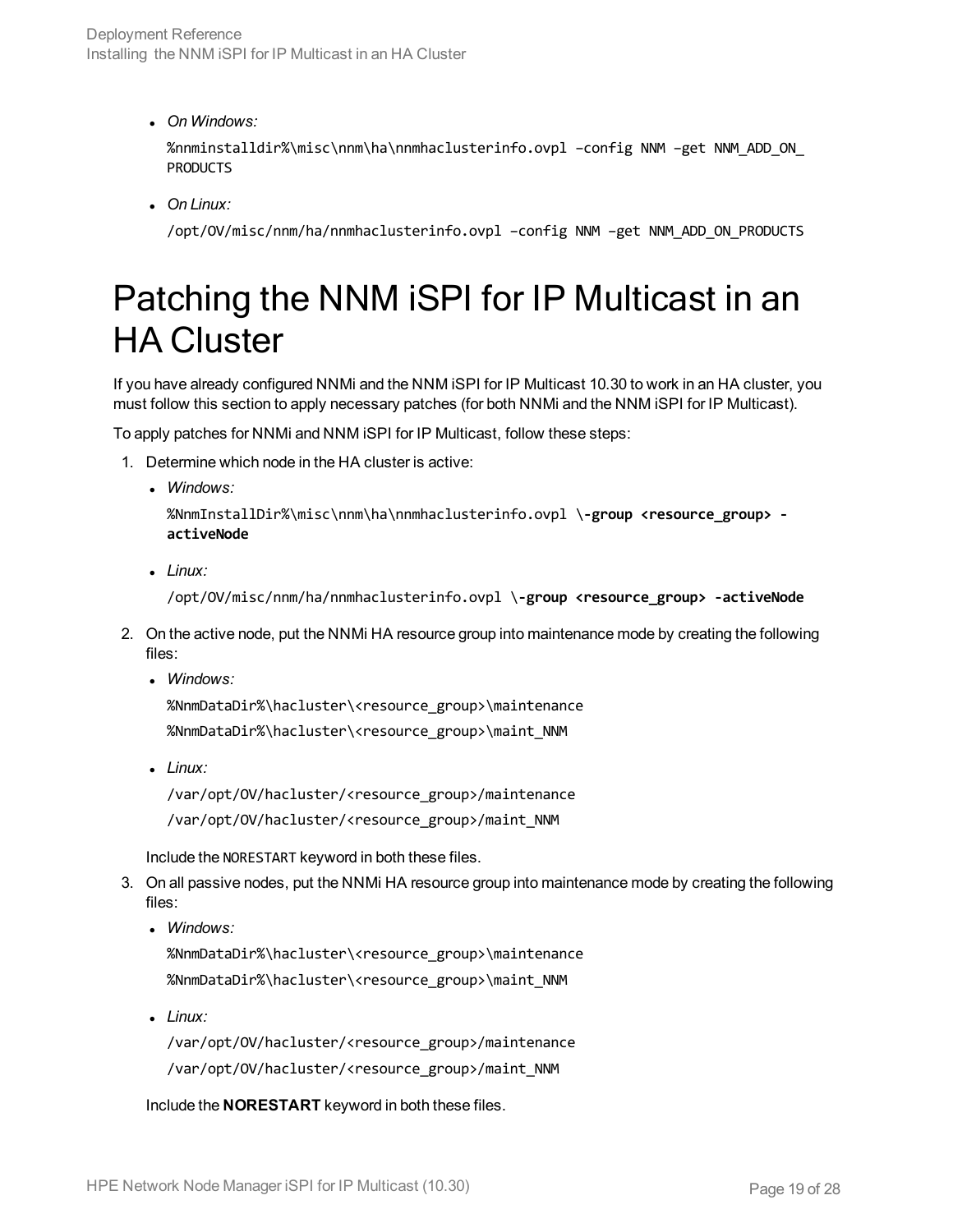<sup>l</sup> *On Windows:*

%nnminstalldir%\misc\nnm\ha\nnmhaclusterinfo.ovpl –config NNM –get NNM\_ADD\_ON\_ PRODUCTS

<sup>l</sup> *On Linux:*

/opt/OV/misc/nnm/ha/nnmhaclusterinfo.ovpl –config NNM –get NNM\_ADD\_ON\_PRODUCTS

## <span id="page-18-0"></span>Patching the NNM iSPI for IP Multicast in an HA Cluster

If you have already configured NNMi and the NNM iSPI for IP Multicast 10.30 to work in an HA cluster, you must follow this section to apply necessary patches (for both NNMi and the NNM iSPI for IP Multicast).

To apply patches for NNMi and NNM iSPI for IP Multicast, follow these steps:

- 1. Determine which node in the HA cluster is active:
	- <sup>l</sup> *Windows:*

%NnmInstallDir%\misc\nnm\ha\nnmhaclusterinfo.ovpl \**-group <resource\_group> activeNode**

<sup>l</sup> *Linux:*

/opt/OV/misc/nnm/ha/nnmhaclusterinfo.ovpl \**-group <resource\_group> -activeNode**

- 2. On the active node, put the NNMi HA resource group into maintenance mode by creating the following files:
	- <sup>l</sup> *Windows:*

%NnmDataDir%\hacluster\<resource\_group>\maintenance %NnmDataDir%\hacluster\<resource\_group>\maint\_NNM

<sup>l</sup> *Linux:*

/var/opt/OV/hacluster/<resource\_group>/maintenance /var/opt/OV/hacluster/<resource\_group>/maint\_NNM

Include the NORESTART keyword in both these files.

- 3. On all passive nodes, put the NNMi HA resource group into maintenance mode by creating the following files:
	- <sup>l</sup> *Windows:*

%NnmDataDir%\hacluster\<resource\_group>\maintenance %NnmDataDir%\hacluster\<resource\_group>\maint\_NNM

<sup>l</sup> *Linux:*

/var/opt/OV/hacluster/<resource\_group>/maintenance /var/opt/OV/hacluster/<resource\_group>/maint\_NNM

Include the **NORESTART** keyword in both these files.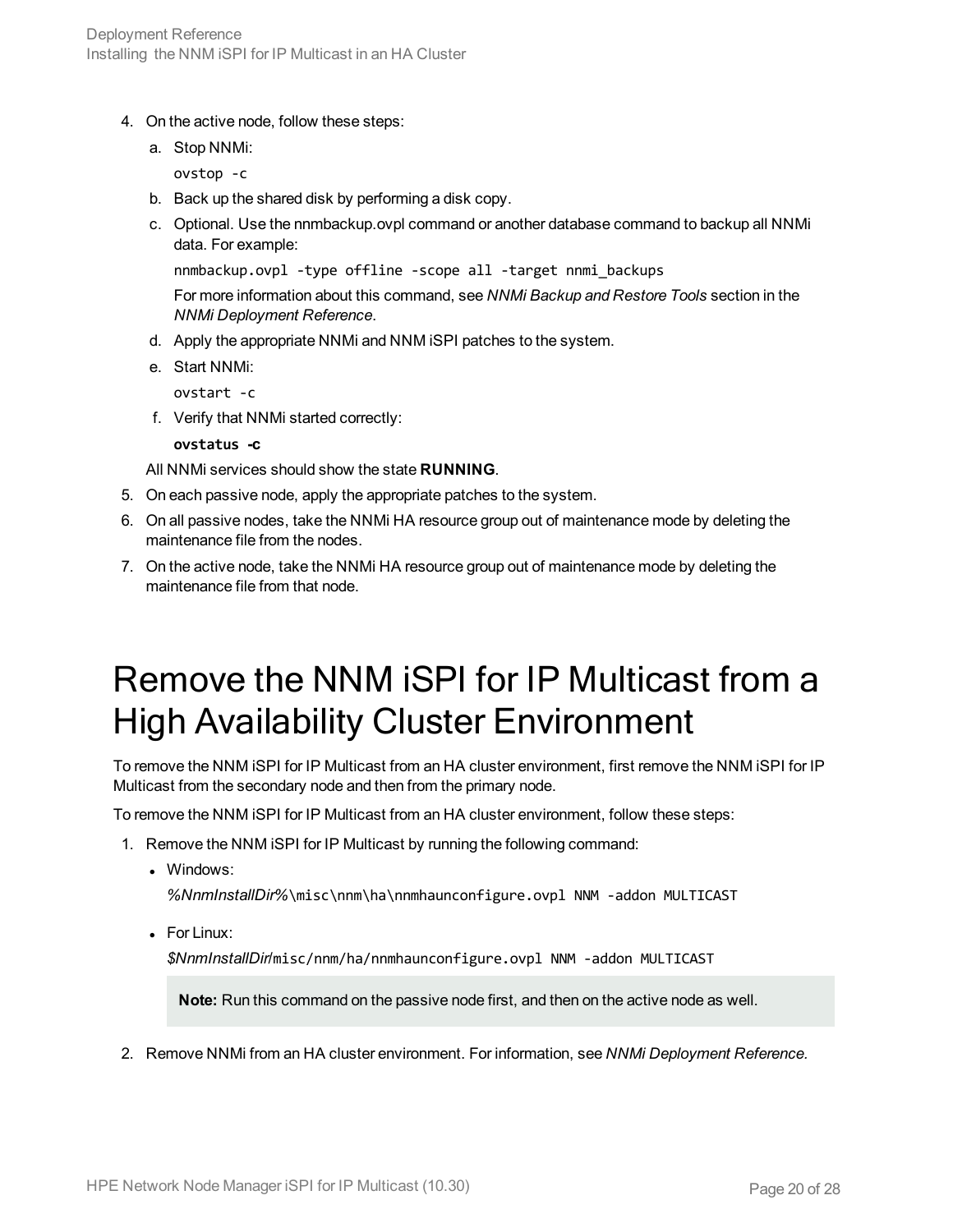- 4. On the active node, follow these steps:
	- a. Stop NNMi:

ovstop -c

- b. Back up the shared disk by performing a disk copy.
- c. Optional. Use the nnmbackup.ovpl command or another database command to backup all NNMi data. For example:

```
nnmbackup.ovpl -type offline -scope all -target nnmi_backups
```
For more information about this command, see *NNMi Backup and Restore Tools* section in the *NNMi Deployment Reference*.

- d. Apply the appropriate NNMi and NNM iSPI patches to the system.
- e. Start NNMi:

ovstart -c

f. Verify that NNMi started correctly:

**ovstatus -c**

All NNMi services should show the state **RUNNING**.

- 5. On each passive node, apply the appropriate patches to the system.
- 6. On all passive nodes, take the NNMi HA resource group out of maintenance mode by deleting the maintenance file from the nodes.
- 7. On the active node, take the NNMi HA resource group out of maintenance mode by deleting the maintenance file from that node.

## <span id="page-19-0"></span>Remove the NNM iSPI for IP Multicast from a High Availability Cluster Environment

To remove the NNM iSPI for IP Multicast from an HA cluster environment, first remove the NNM iSPI for IP Multicast from the secondary node and then from the primary node.

To remove the NNM iSPI for IP Multicast from an HA cluster environment, follow these steps:

- 1. Remove the NNM iSPI for IP Multicast by running the following command:
	- Windows:

*%NnmInstallDir%*\misc\nnm\ha\nnmhaunconfigure.ovpl NNM -addon MULTICAST

 $\bullet$  For Linux:

*\$NnmInstallDir*/misc/nnm/ha/nnmhaunconfigure.ovpl NNM -addon MULTICAST

**Note:** Run this command on the passive node first, and then on the active node as well.

2. Remove NNMi from an HA cluster environment. For information, see *NNMi Deployment Reference.*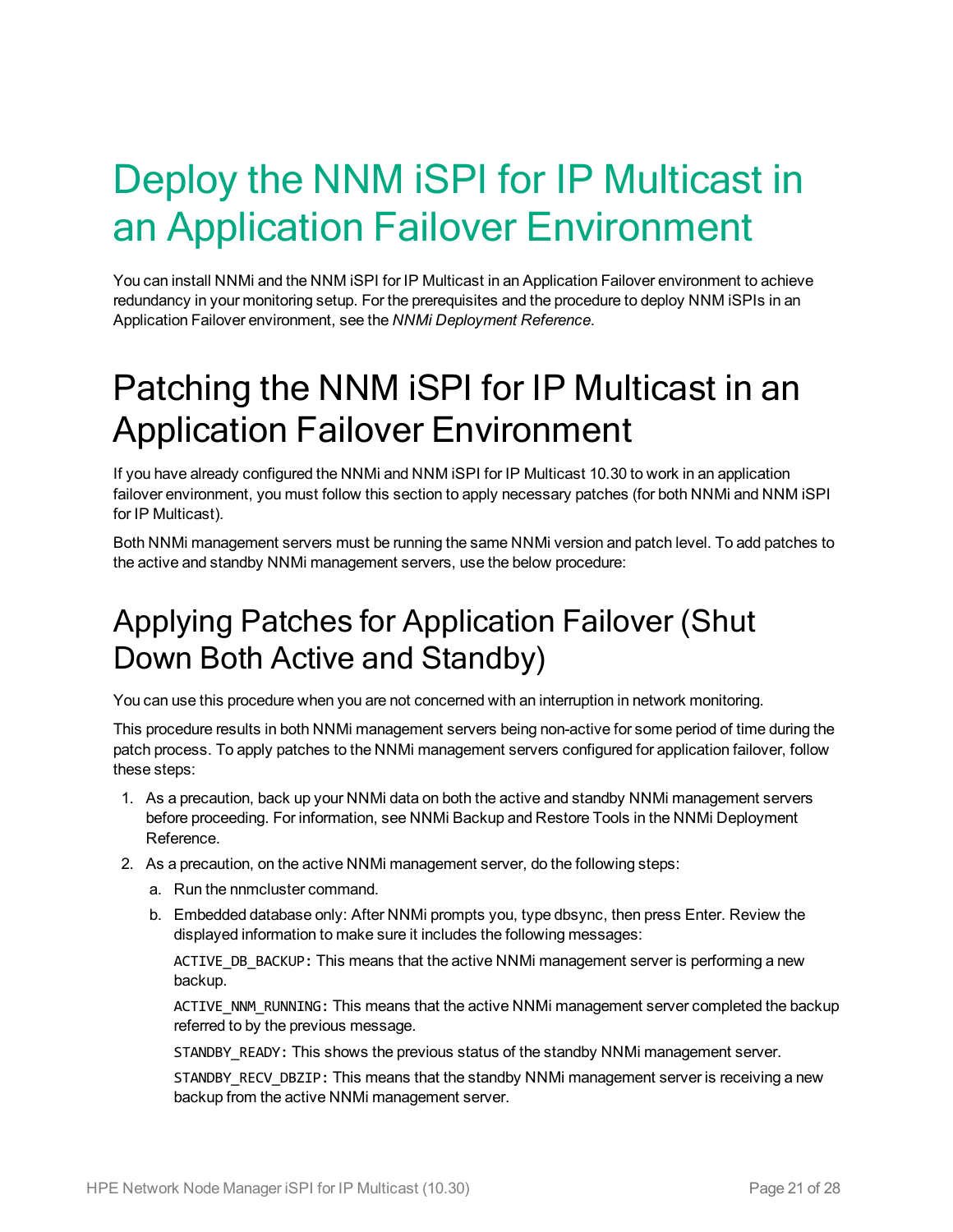# <span id="page-20-0"></span>Deploy the NNM iSPI for IP Multicast in an Application Failover Environment

You can install NNMi and the NNM iSPI for IP Multicast in an Application Failover environment to achieve redundancy in your monitoring setup. For the prerequisites and the procedure to deploy NNM iSPIs in an Application Failover environment, see the *NNMi Deployment Reference*.

## <span id="page-20-1"></span>Patching the NNM iSPI for IP Multicast in an Application Failover Environment

If you have already configured the NNMi and NNM iSPI for IP Multicast 10.30 to work in an application failover environment, you must follow this section to apply necessary patches (for both NNMi and NNM iSPI for IP Multicast).

<span id="page-20-2"></span>Both NNMi management servers must be running the same NNMi version and patch level. To add patches to the active and standby NNMi management servers, use the below procedure:

#### Applying Patches for Application Failover (Shut Down Both Active and Standby)

You can use this procedure when you are not concerned with an interruption in network monitoring.

This procedure results in both NNMi management servers being non-active for some period of time during the patch process. To apply patches to the NNMi management servers configured for application failover, follow these steps:

- 1. As a precaution, back up your NNMi data on both the active and standby NNMi management servers before proceeding. For information, see NNMi Backup and Restore Tools in the NNMi Deployment Reference.
- 2. As a precaution, on the active NNMi management server, do the following steps:
	- a. Run the nnmcluster command.
	- b. Embedded database only: After NNMi prompts you, type dbsync, then press Enter. Review the displayed information to make sure it includes the following messages:

ACTIVE DB BACKUP: This means that the active NNMi management server is performing a new backup.

ACTIVE\_NNM\_RUNNING: This means that the active NNMi management server completed the backup referred to by the previous message.

STANDBY\_READY: This shows the previous status of the standby NNMi management server.

STANDBY\_RECV\_DBZIP: This means that the standby NNMi management server is receiving a new backup from the active NNMi management server.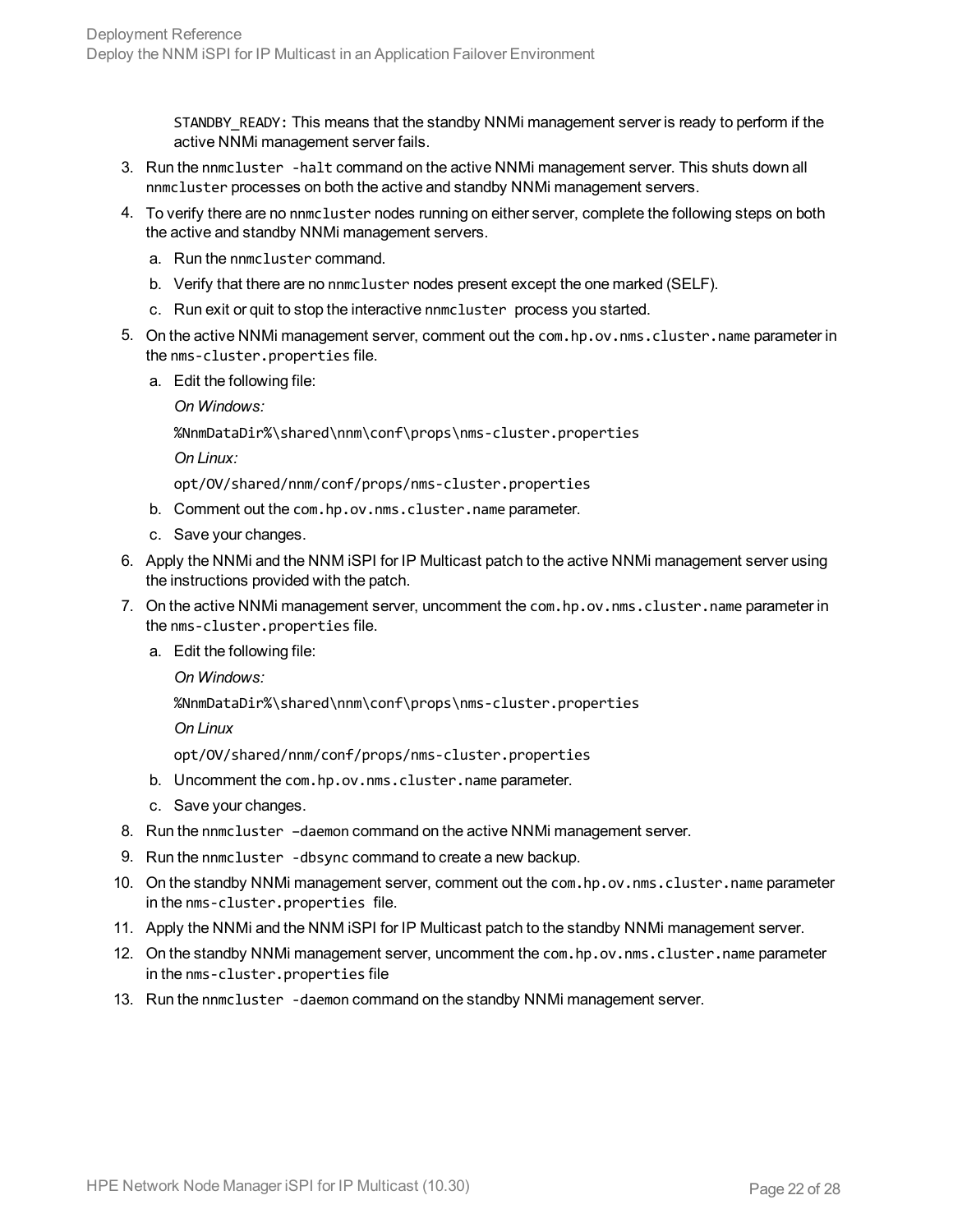STANDBY READY: This means that the standby NNMi management server is ready to perform if the active NNMi management server fails.

- 3. Run the nnmcluster -halt command on the active NNMi management server. This shuts down all nnmcluster processes on both the active and standby NNMi management servers.
- 4. To verify there are no nnmcluster nodes running on either server, complete the following steps on both the active and standby NNMi management servers.
	- a. Run the nnmcluster command.
	- b. Verify that there are no nnmcluster nodes present except the one marked (SELF).
	- c. Run exit or quit to stop the interactive nnmcluster process you started.
- 5. On the active NNMi management server, comment out the com.hp.ov.nms.cluster.name parameter in the nms-cluster.properties file.
	- a. Edit the following file:

*On Windows:*

%NnmDataDir%\shared\nnm\conf\props\nms-cluster.properties

*On Linux:*

opt/OV/shared/nnm/conf/props/nms-cluster.properties

- b. Comment out the com.hp.ov.nms.cluster.name parameter.
- c. Save your changes.
- 6. Apply the NNMi and the NNM iSPI for IP Multicast patch to the active NNMi management server using the instructions provided with the patch.
- 7. On the active NNMi management server, uncomment the com.hp.ov.nms.cluster.name parameter in the nms-cluster.properties file.
	- a. Edit the following file:

*On Windows:*

%NnmDataDir%\shared\nnm\conf\props\nms-cluster.properties

*On Linux*

opt/OV/shared/nnm/conf/props/nms-cluster.properties

- b. Uncomment the com.hp.ov.nms.cluster.name parameter.
- c. Save your changes.
- 8. Run the nnmcluster –daemon command on the active NNMi management server.
- 9. Run the nnmcluster -dbsync command to create a new backup.
- 10. On the standby NNMi management server, comment out the com.hp.ov.nms.cluster.name parameter in the nms-cluster.properties file.
- 11. Apply the NNMi and the NNM iSPI for IP Multicast patch to the standby NNMi management server.
- 12. On the standby NNMi management server, uncomment the com.hp.ov.nms.cluster.name parameter in the nms-cluster.properties file
- 13. Run the nnmcluster -daemon command on the standby NNMi management server.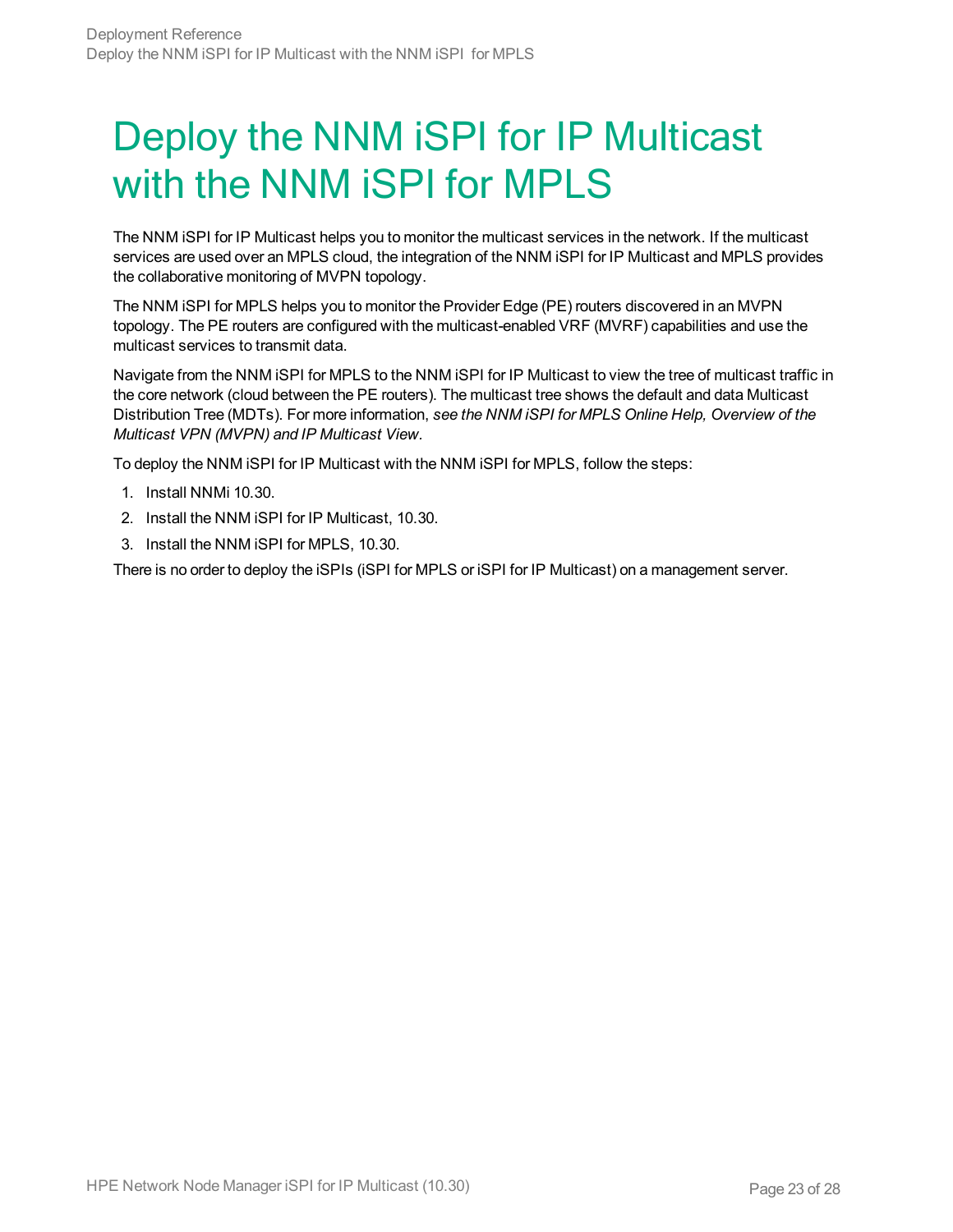# <span id="page-22-0"></span>Deploy the NNM iSPI for IP Multicast with the NNM iSPI for MPLS

The NNM iSPI for IP Multicast helps you to monitor the multicast services in the network. If the multicast services are used over an MPLS cloud, the integration of the NNM iSPI for IP Multicast and MPLS provides the collaborative monitoring of MVPN topology.

The NNM iSPI for MPLS helps you to monitor the Provider Edge (PE) routers discovered in an MVPN topology. The PE routers are configured with the multicast-enabled VRF (MVRF) capabilities and use the multicast services to transmit data.

Navigate from the NNM iSPI for MPLS to the NNM iSPI for IP Multicast to view the tree of multicast traffic in the core network (cloud between the PE routers). The multicast tree shows the default and data Multicast Distribution Tree (MDTs). For more information, *see the NNM iSPI for MPLS Online Help, Overview of the Multicast VPN (MVPN) and IP Multicast View.*

To deploy the NNM iSPI for IP Multicast with the NNM iSPI for MPLS, follow the steps:

- 1. Install NNMi 10.30.
- 2. Install the NNM iSPI for IP Multicast, 10.30.
- 3. Install the NNM iSPI for MPLS, 10.30.

There is no order to deploy the iSPIs (iSPI for MPLS or iSPI for IP Multicast) on a management server.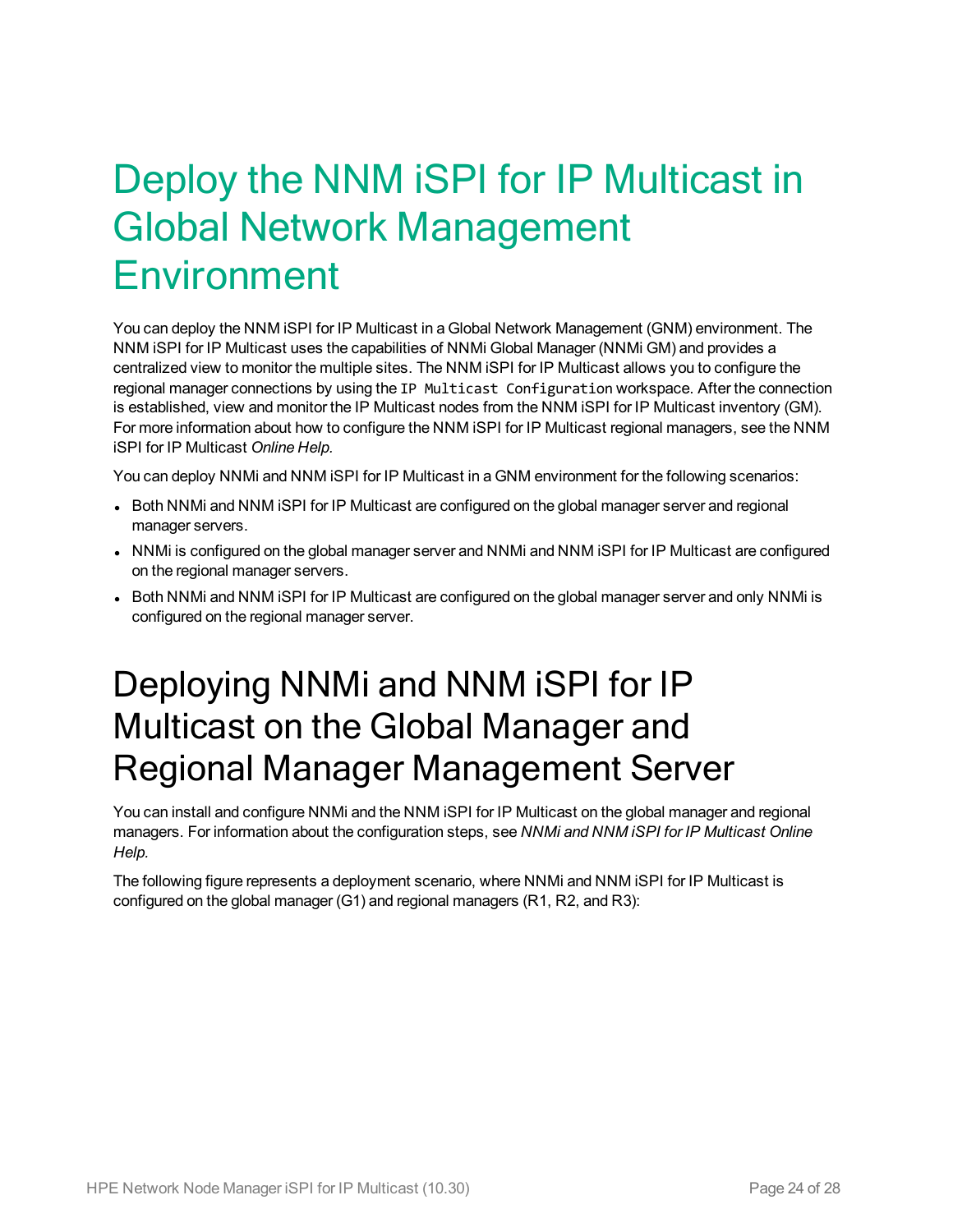# <span id="page-23-0"></span>Deploy the NNM iSPI for IP Multicast in Global Network Management Environment

You can deploy the NNM iSPI for IP Multicast in a Global Network Management (GNM) environment. The NNM iSPI for IP Multicast uses the capabilities of NNMi Global Manager (NNMi GM) and provides a centralized view to monitor the multiple sites. The NNM iSPI for IP Multicast allows you to configure the regional manager connections by using the IP Multicast Configuration workspace. After the connection is established, view and monitor the IP Multicast nodes from the NNM iSPI for IP Multicast inventory (GM). For more information about how to configure the NNM iSPI for IP Multicast regional managers, see the NNM iSPI for IP Multicast *Online Help.*

You can deploy NNMi and NNM iSPI for IP Multicast in a GNM environment for the following scenarios:

- Both NNMi and NNM iSPI for IP Multicast are configured on the global manager server and regional manager servers.
- NNMi is configured on the global manager server and NNMi and NNM iSPI for IP Multicast are configured on the regional manager servers.
- <span id="page-23-1"></span>• Both NNMi and NNM iSPI for IP Multicast are configured on the global manager server and only NNMi is configured on the regional manager server.

## Deploying NNMi and NNM iSPI for IP Multicast on the Global Manager and Regional Manager Management Server

You can install and configure NNMi and the NNM iSPI for IP Multicast on the global manager and regional managers. For information about the configuration steps, see *NNMi and NNM iSPI for IP Multicast Online Help.*

The following figure represents a deployment scenario, where NNMi and NNM iSPI for IP Multicast is configured on the global manager (G1) and regional managers (R1, R2, and R3):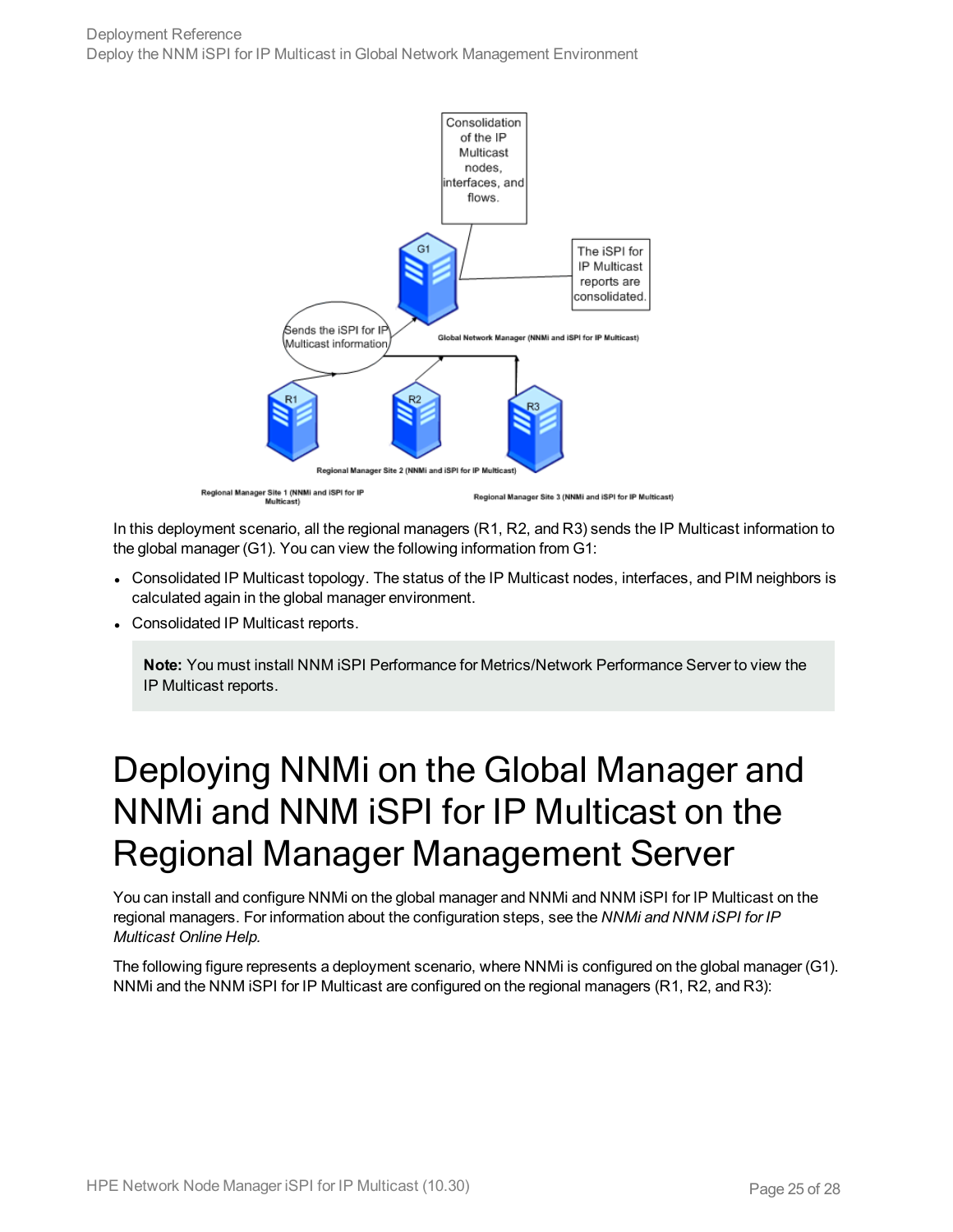

In this deployment scenario, all the regional managers (R1, R2, and R3) sends the IP Multicast information to the global manager (G1). You can view the following information from G1:

- Consolidated IP Multicast topology. The status of the IP Multicast nodes, interfaces, and PIM neighbors is calculated again in the global manager environment.
- Consolidated IP Multicast reports.

**Note:** You must install NNM iSPI Performance for Metrics/Network Performance Server to view the IP Multicast reports.

## <span id="page-24-0"></span>Deploying NNMi on the Global Manager and NNMi and NNM iSPI for IP Multicast on the Regional Manager Management Server

You can install and configure NNMi on the global manager and NNMi and NNM iSPI for IP Multicast on the regional managers. For information about the configuration steps, see the *NNMi and NNM iSPI for IP Multicast Online Help.*

The following figure represents a deployment scenario, where NNMi is configured on the global manager (G1). NNMi and the NNM iSPI for IP Multicast are configured on the regional managers (R1, R2, and R3):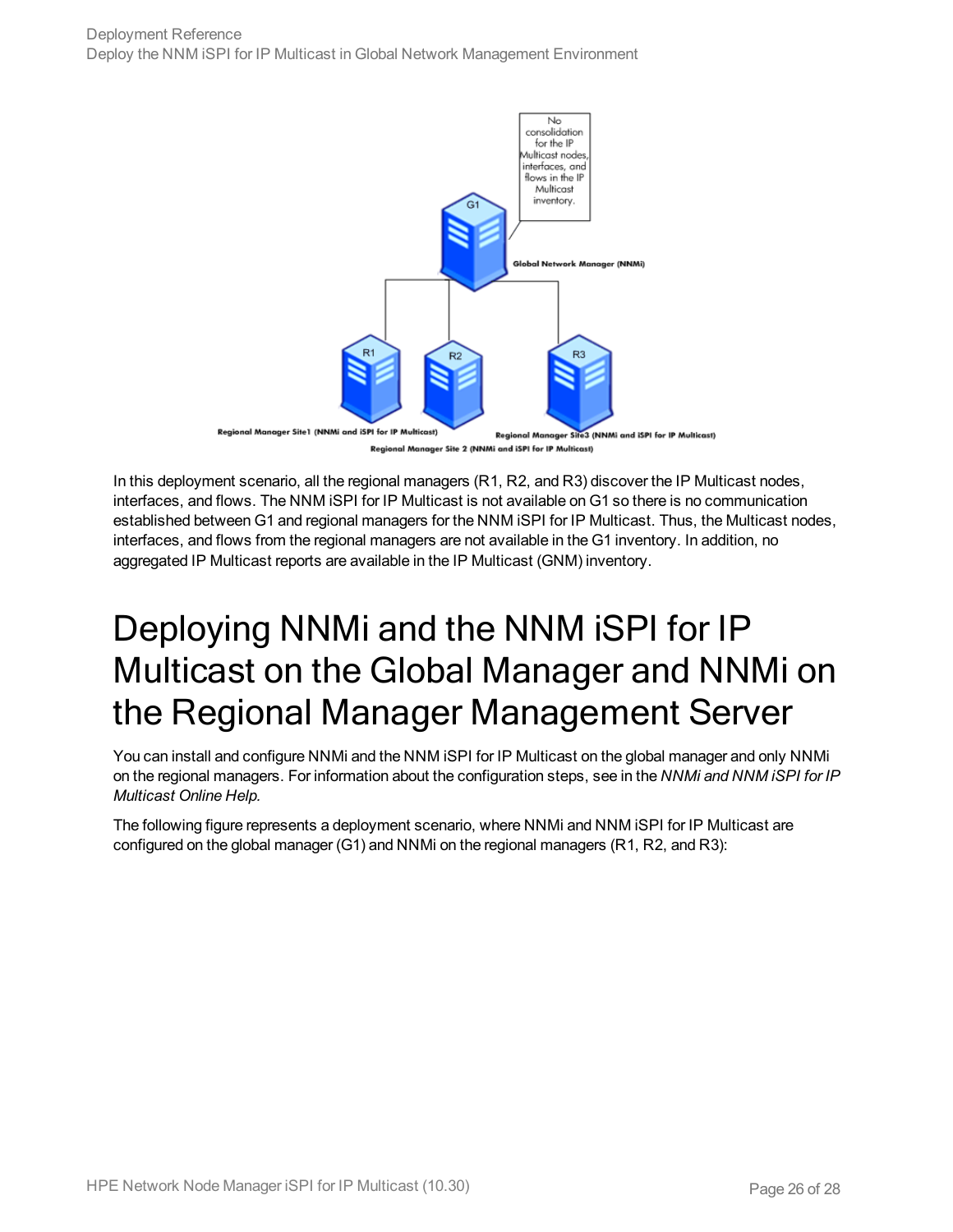

ger Site 2 (NNMi and iSPI for IP Multicast) **Regional Mo** 

In this deployment scenario, all the regional managers (R1, R2, and R3) discover the IP Multicast nodes, interfaces, and flows. The NNM iSPI for IP Multicast is not available on G1 so there is no communication established between G1 and regional managers for the NNM iSPI for IP Multicast. Thus, the Multicast nodes, interfaces, and flows from the regional managers are not available in the G1 inventory. In addition, no aggregated IP Multicast reports are available in the IP Multicast (GNM) inventory.

## <span id="page-25-0"></span>Deploying NNMi and the NNM iSPI for IP Multicast on the Global Manager and NNMi on the Regional Manager Management Server

You can install and configure NNMi and the NNM iSPI for IP Multicast on the global manager and only NNMi on the regional managers. For information about the configuration steps, see in the *NNMi and NNM iSPI for IP Multicast Online Help.*

The following figure represents a deployment scenario, where NNMi and NNM iSPI for IP Multicast are configured on the global manager (G1) and NNMi on the regional managers (R1, R2, and R3):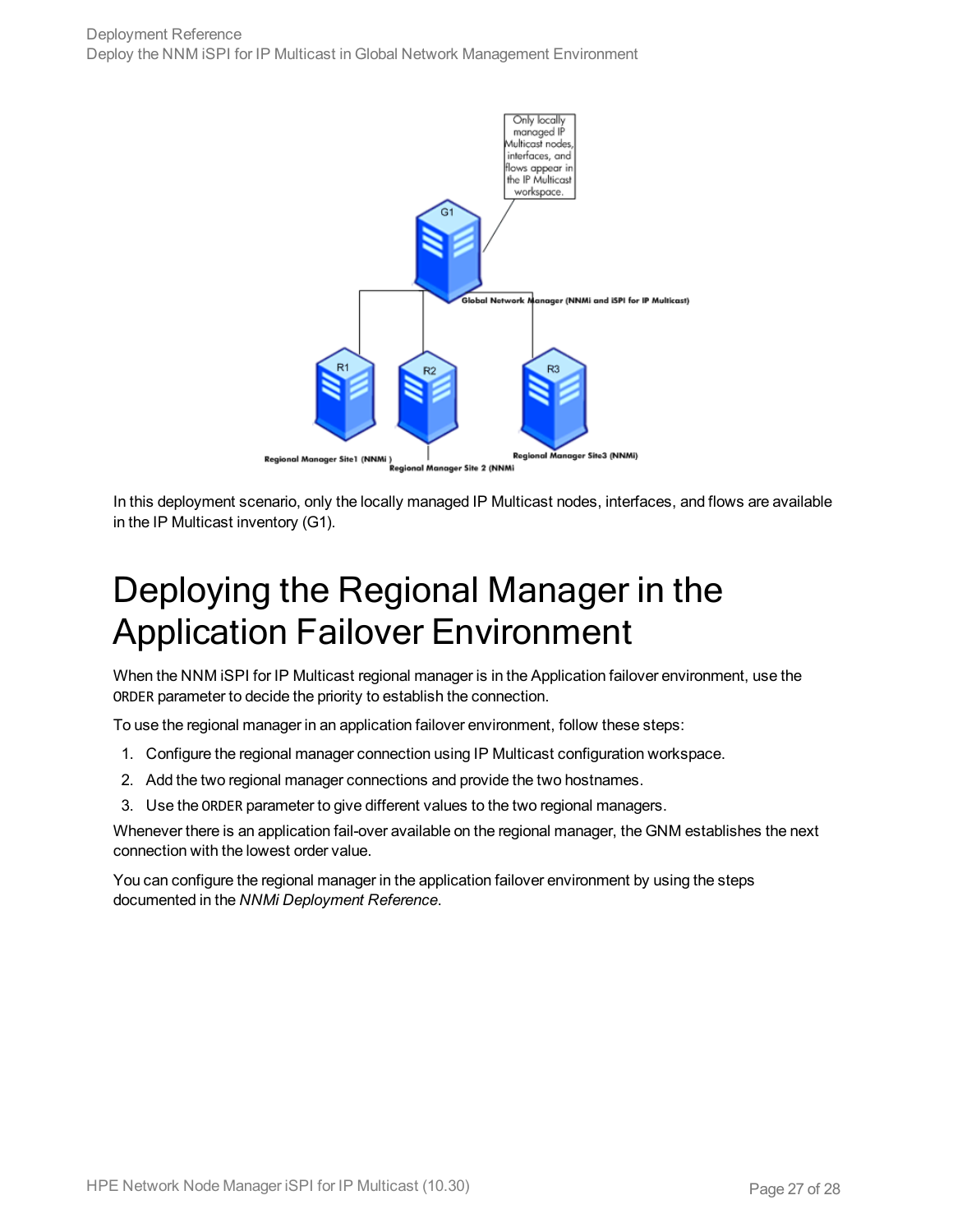

<span id="page-26-0"></span>In this deployment scenario, only the locally managed IP Multicast nodes, interfaces, and flows are available in the IP Multicast inventory (G1).

## Deploying the Regional Manager in the Application Failover Environment

When the NNM iSPI for IP Multicast regional manager is in the Application failover environment, use the ORDER parameter to decide the priority to establish the connection.

To use the regional manager in an application failover environment, follow these steps:

- 1. Configure the regional manager connection using IP Multicast configuration workspace.
- 2. Add the two regional manager connections and provide the two hostnames.
- 3. Use the ORDER parameter to give different values to the two regional managers.

Whenever there is an application fail-over available on the regional manager, the GNM establishes the next connection with the lowest order value.

You can configure the regional manager in the application failover environment by using the steps documented in the *NNMi Deployment Reference*.